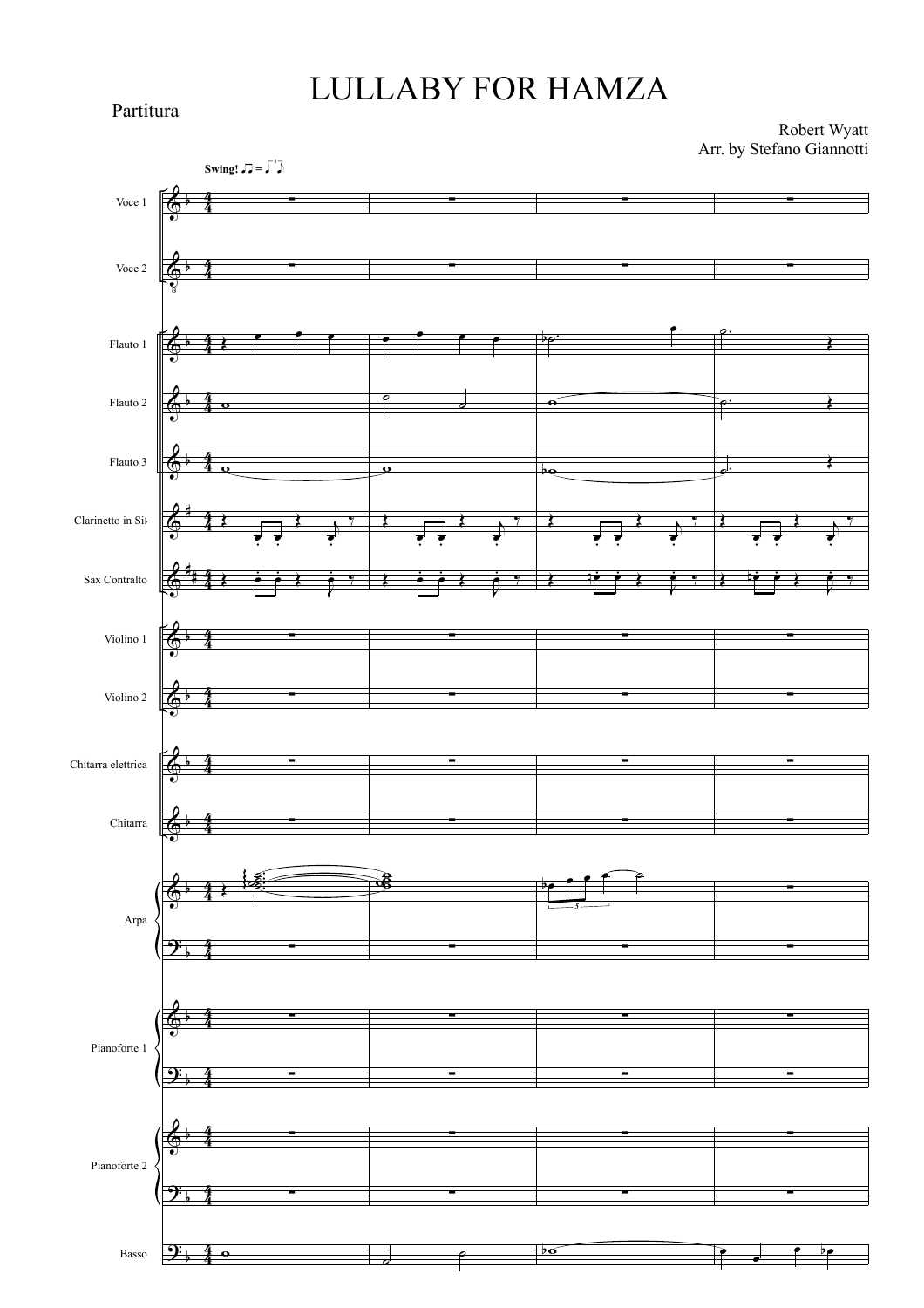Robert Wyatt Arr. by Stefano Giannotti



## Partitura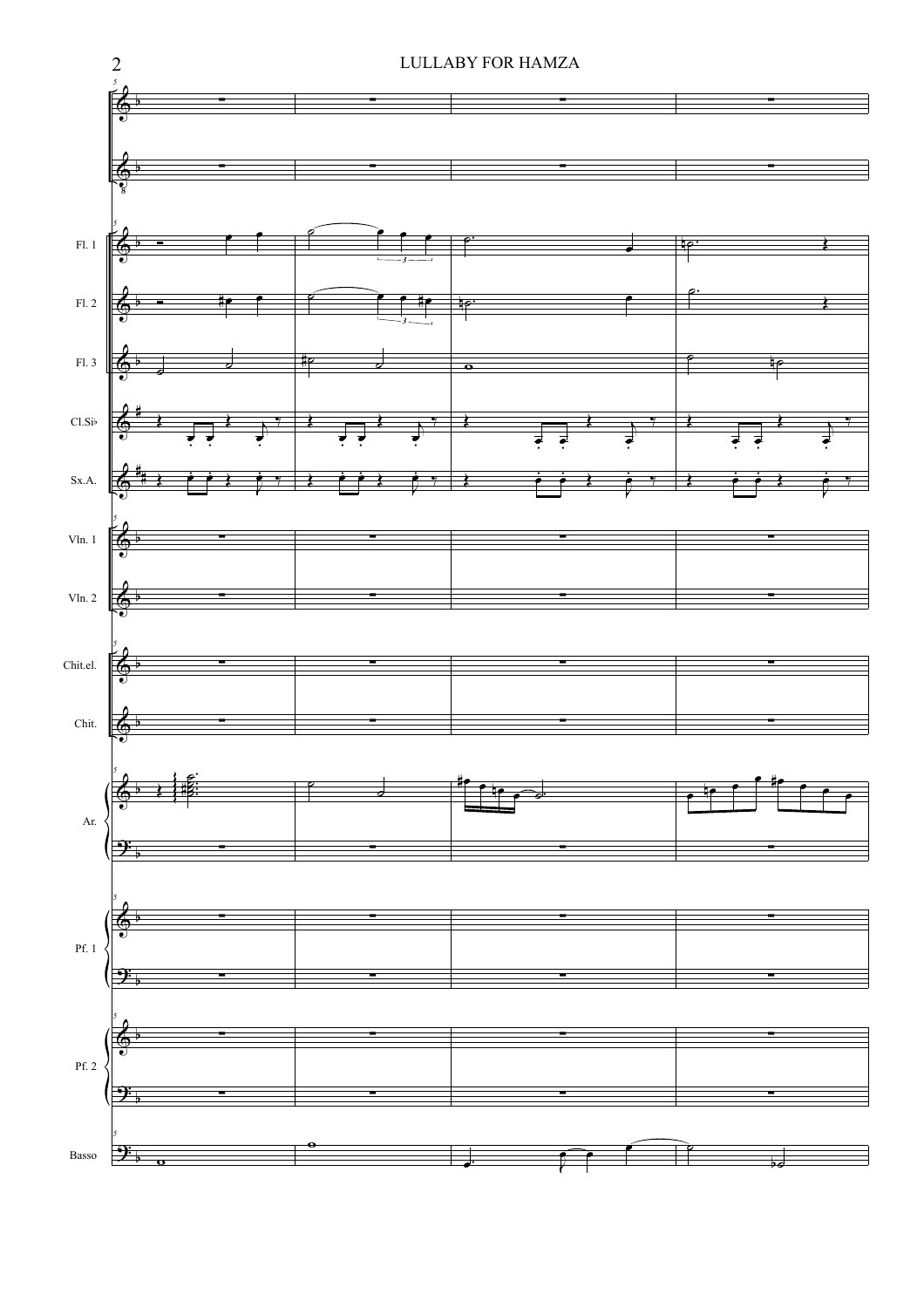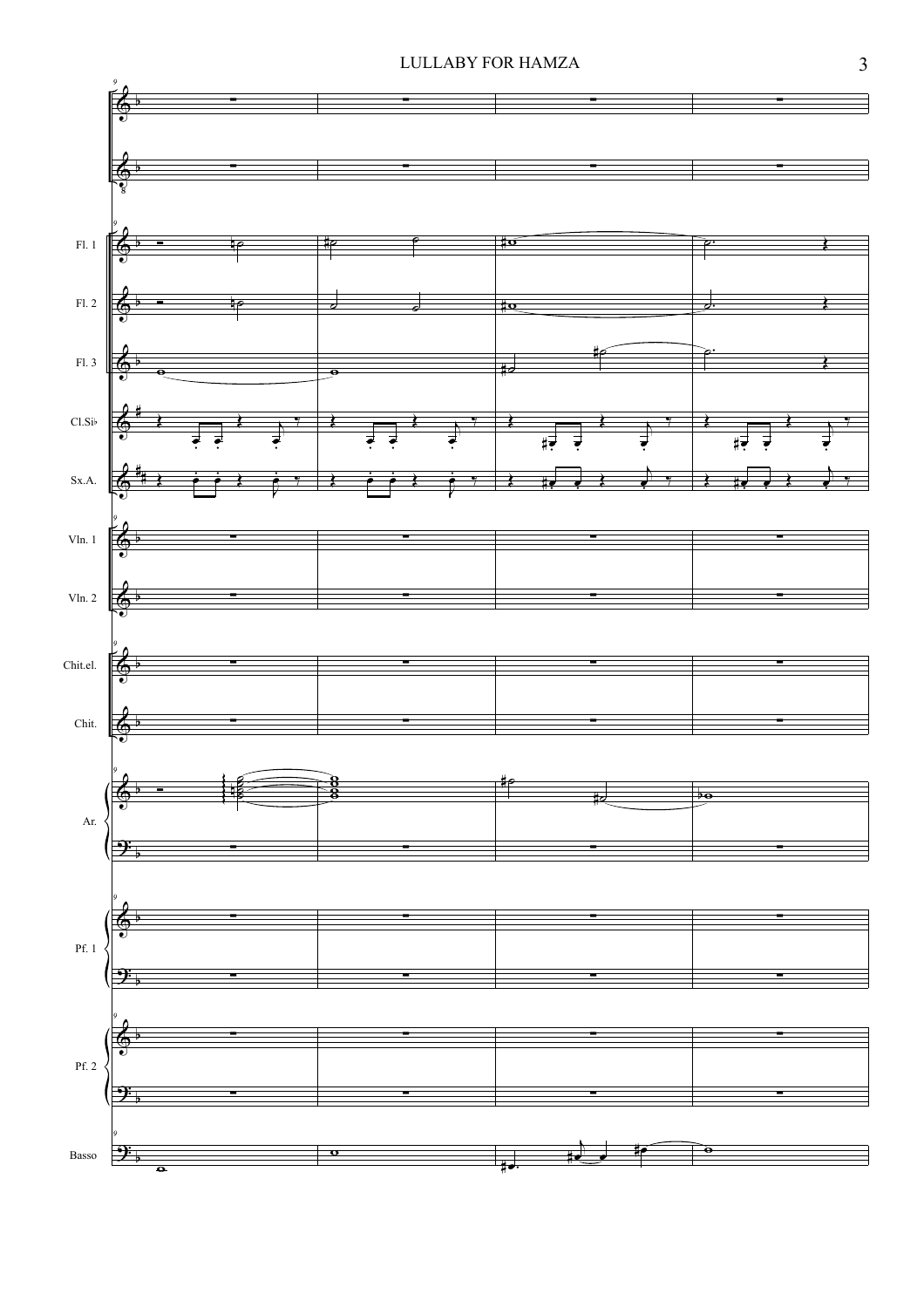

 $\overline{\mathbf{3}}$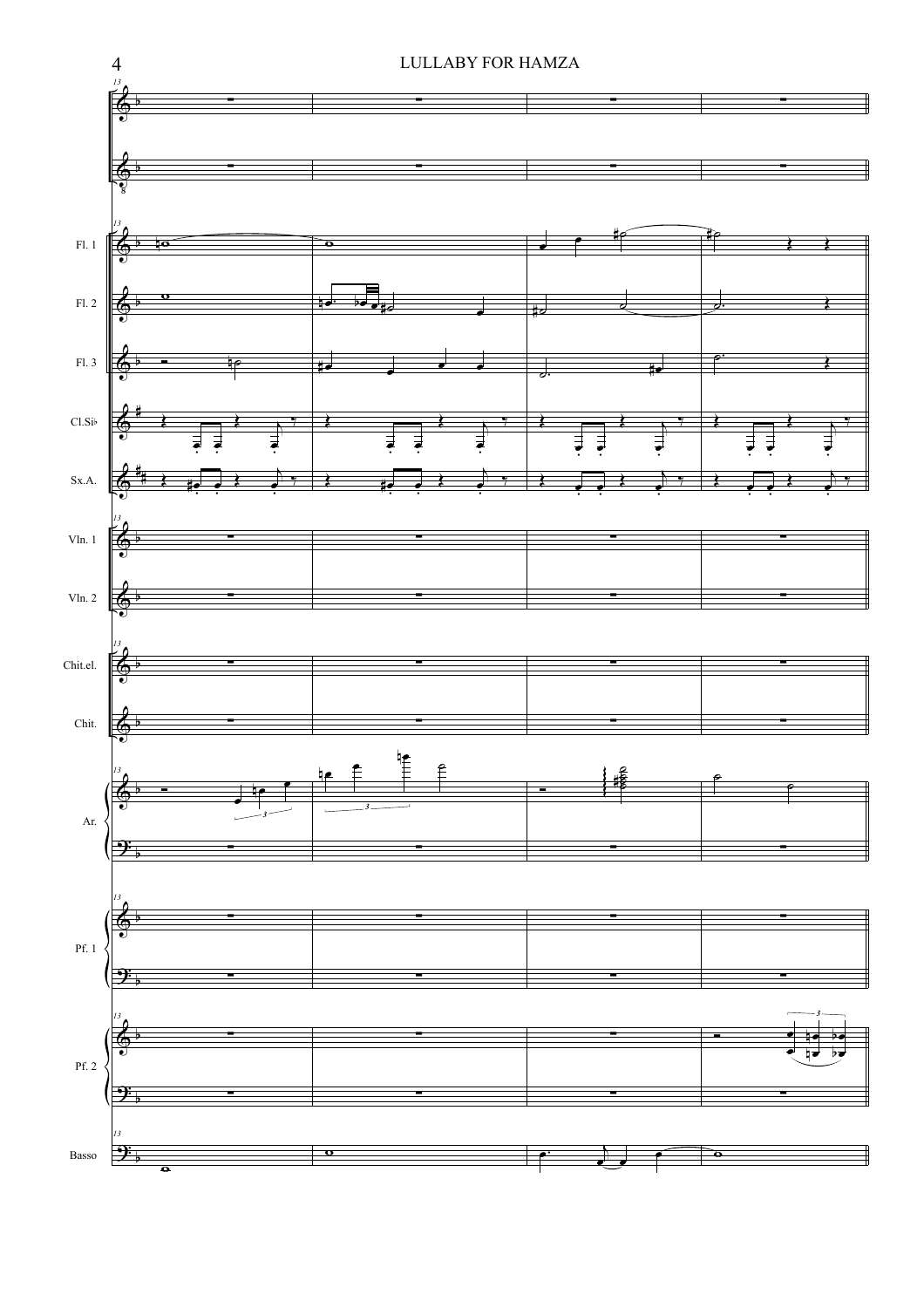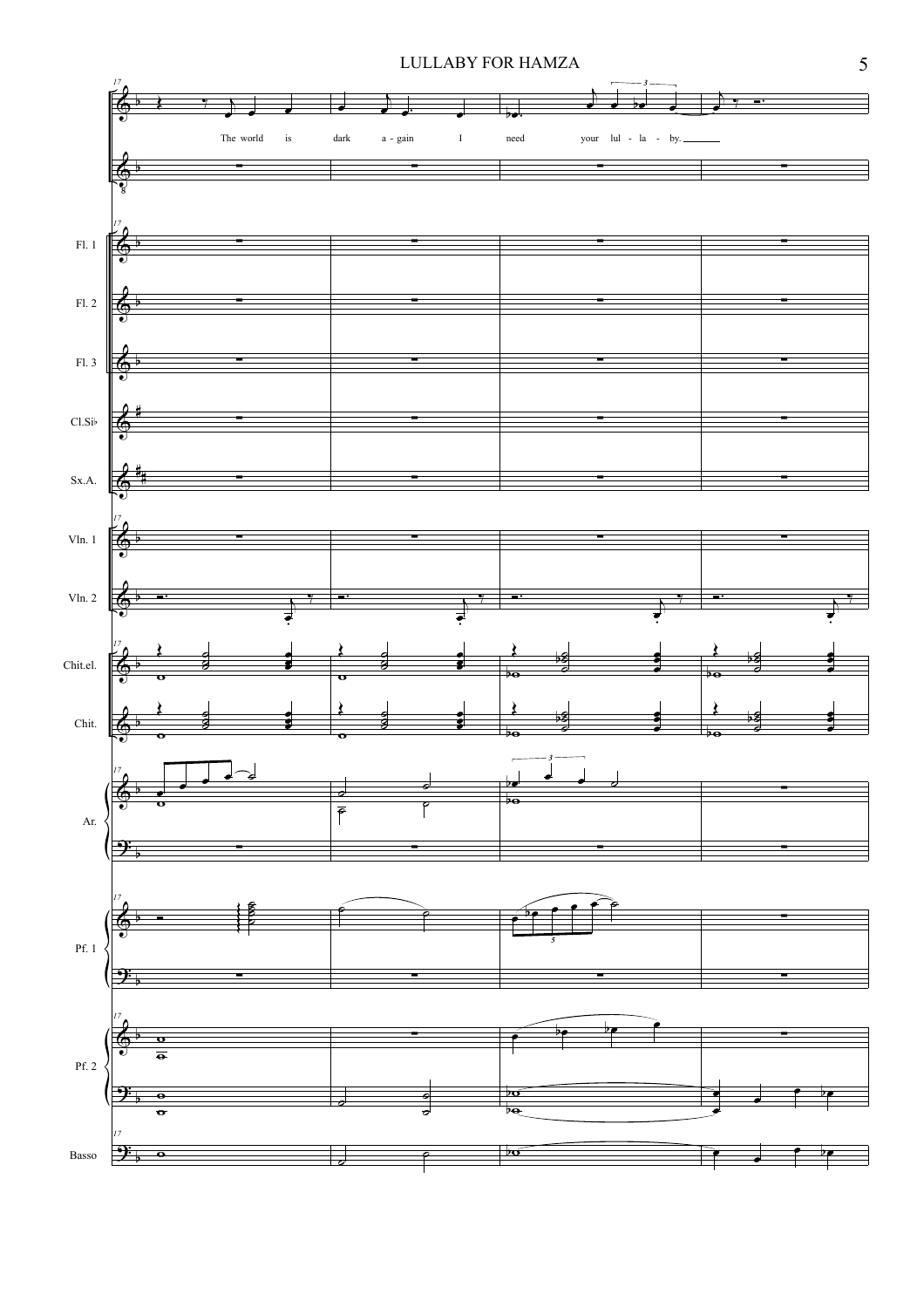

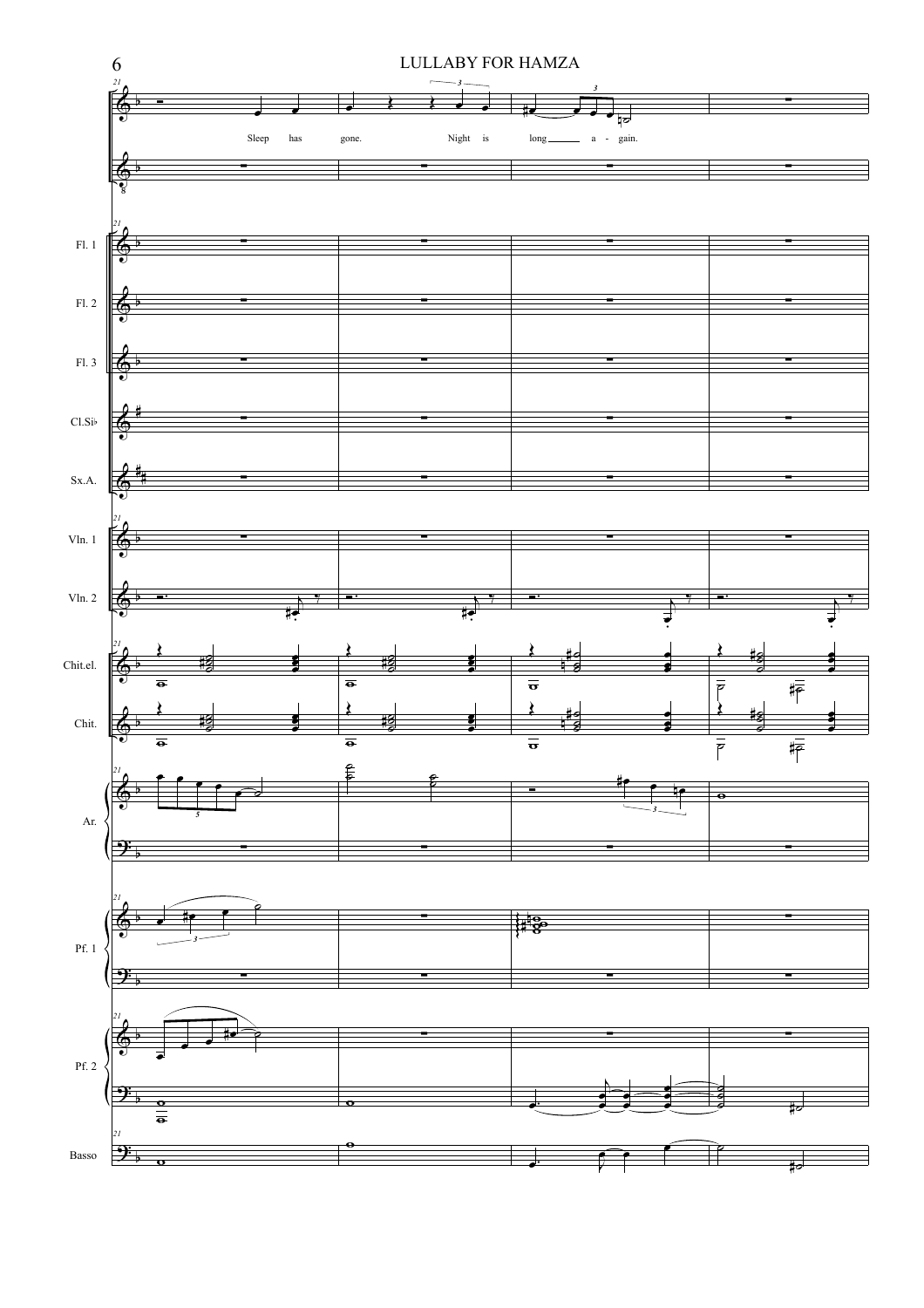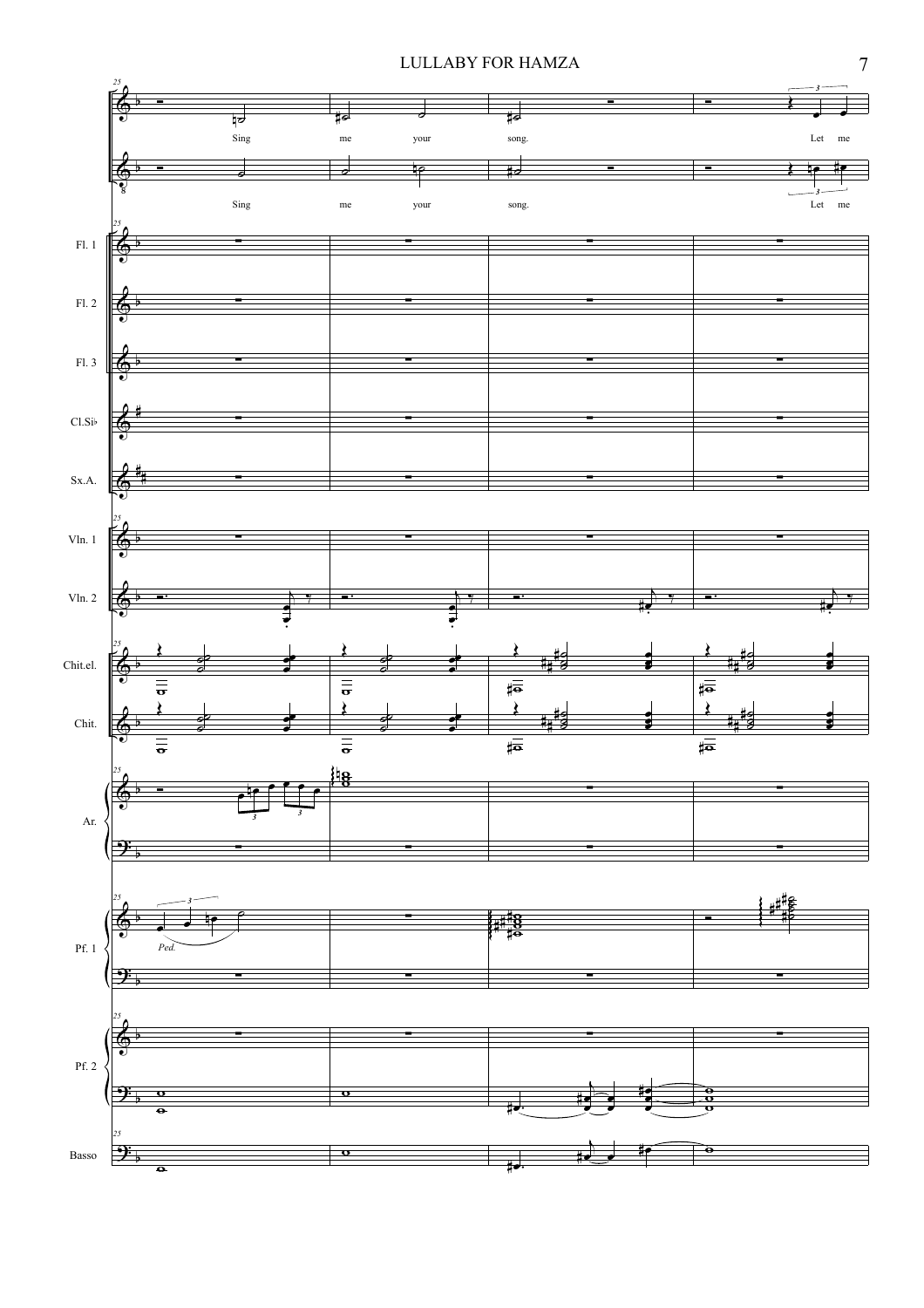

 $\overline{7}$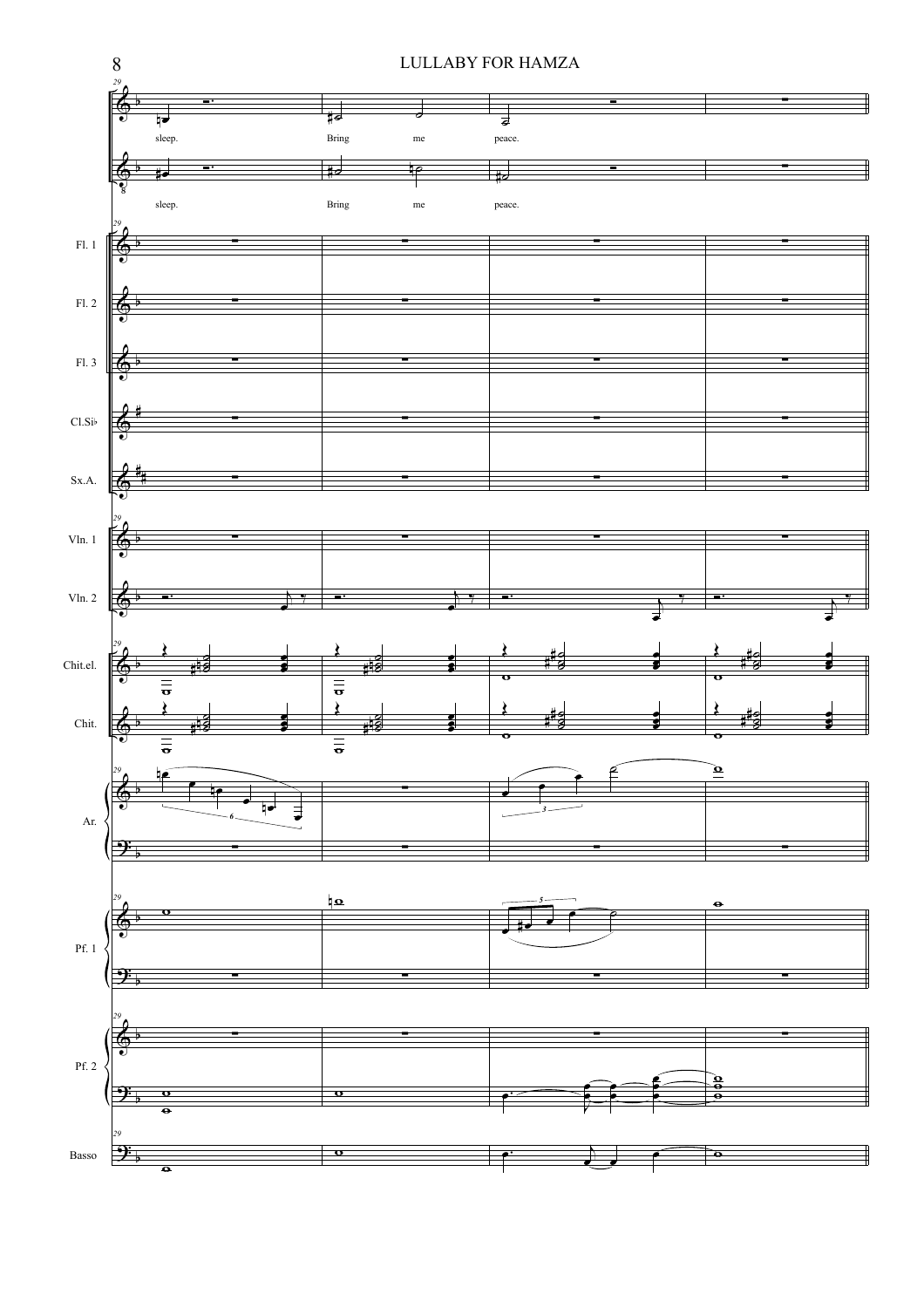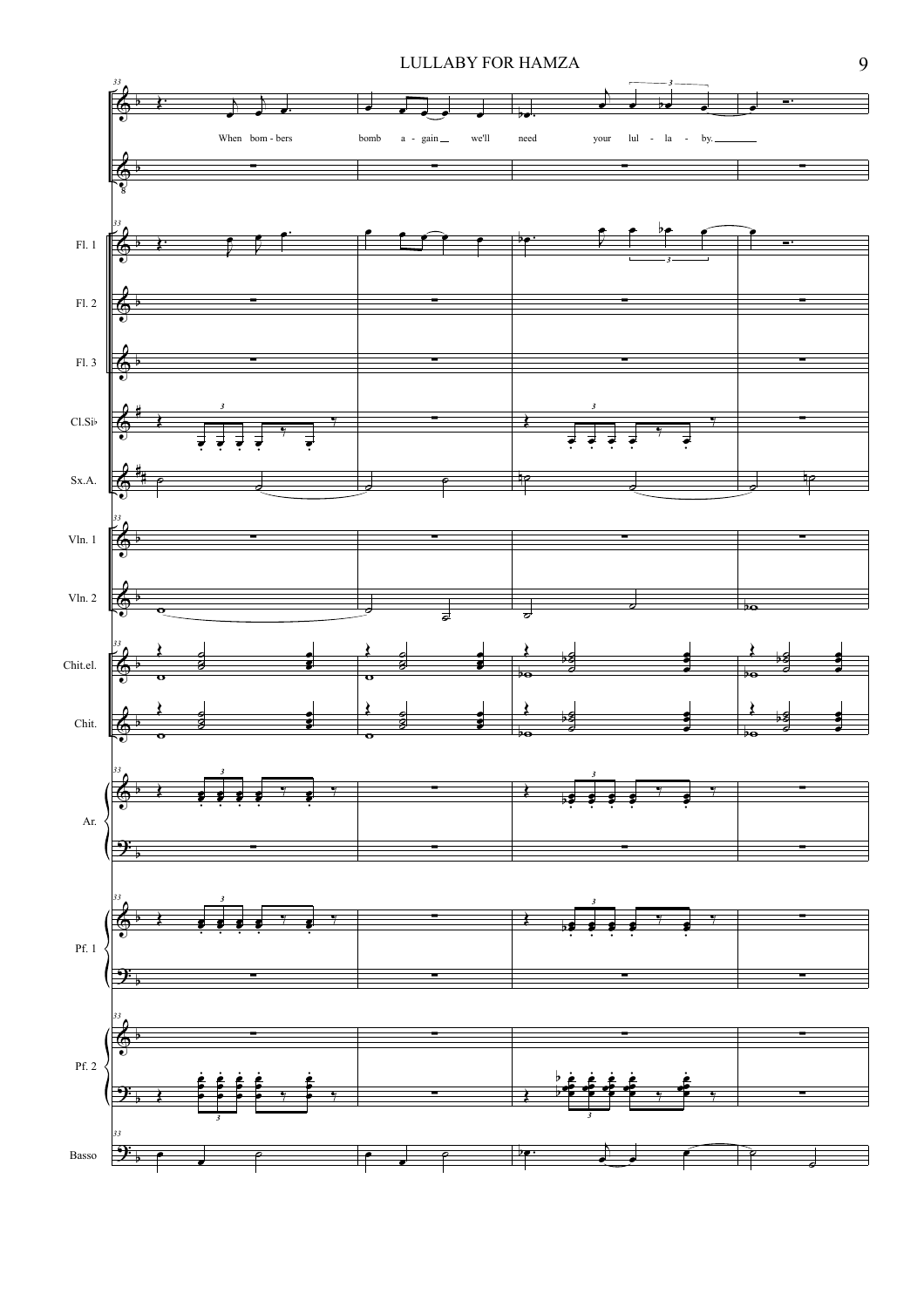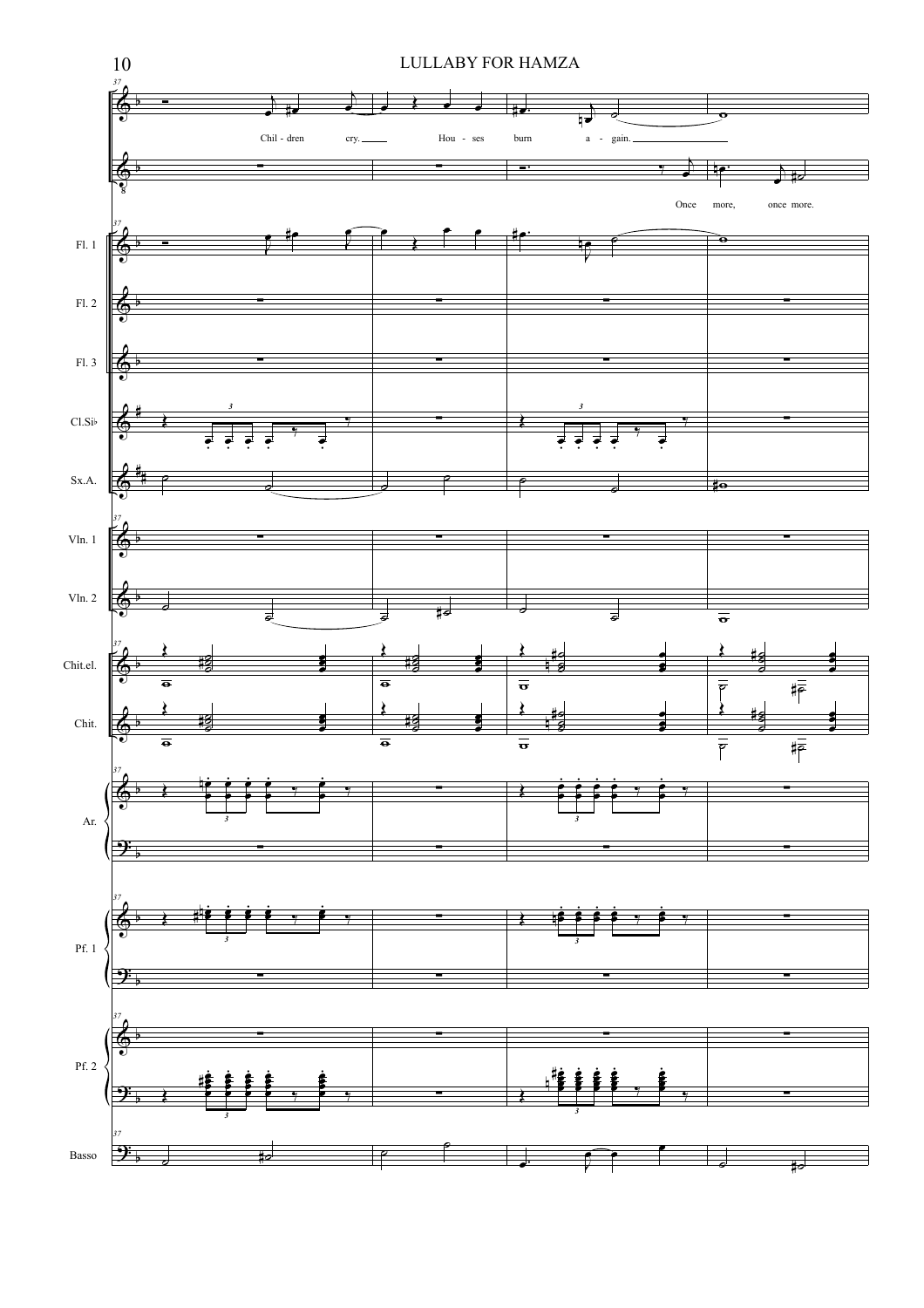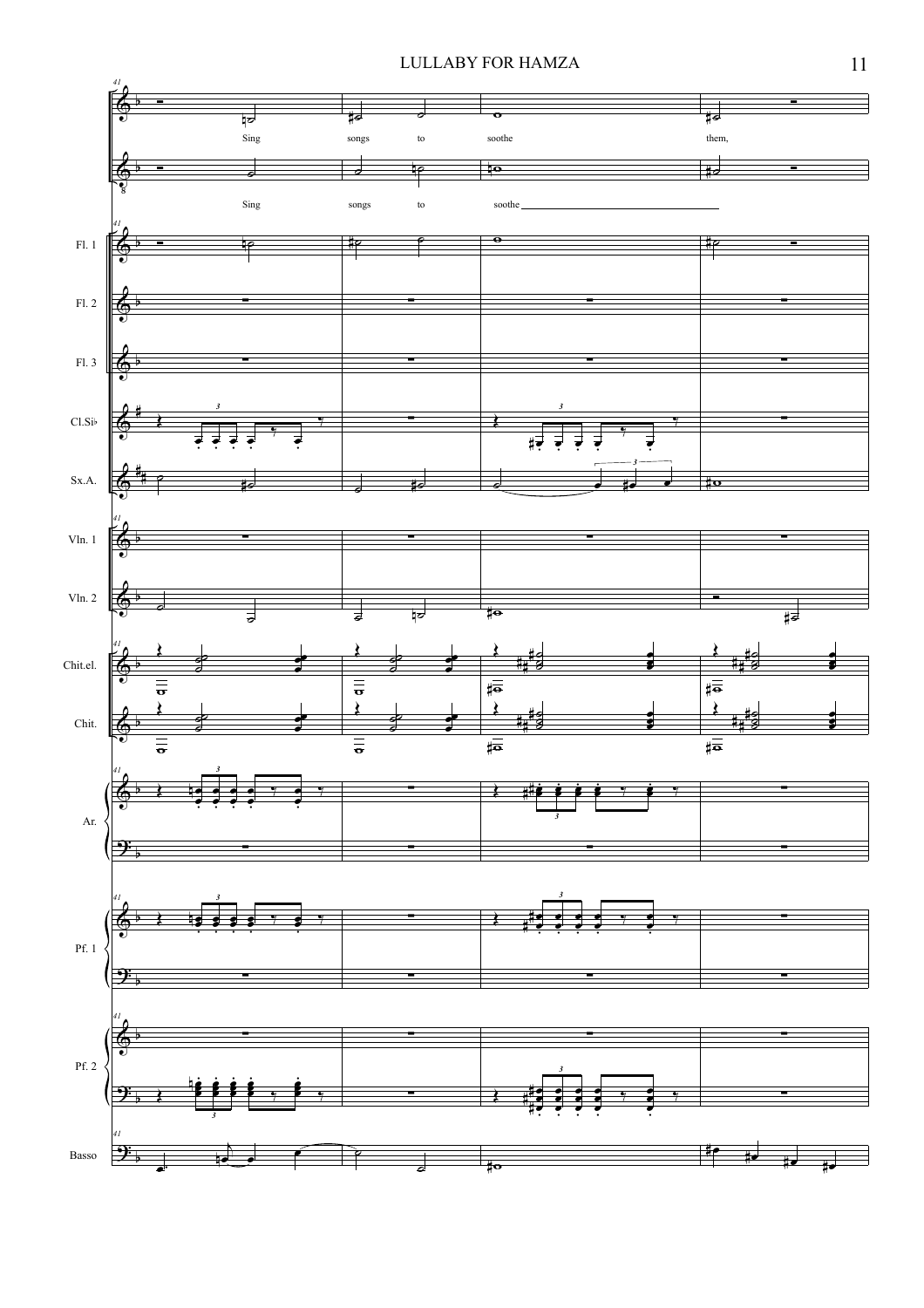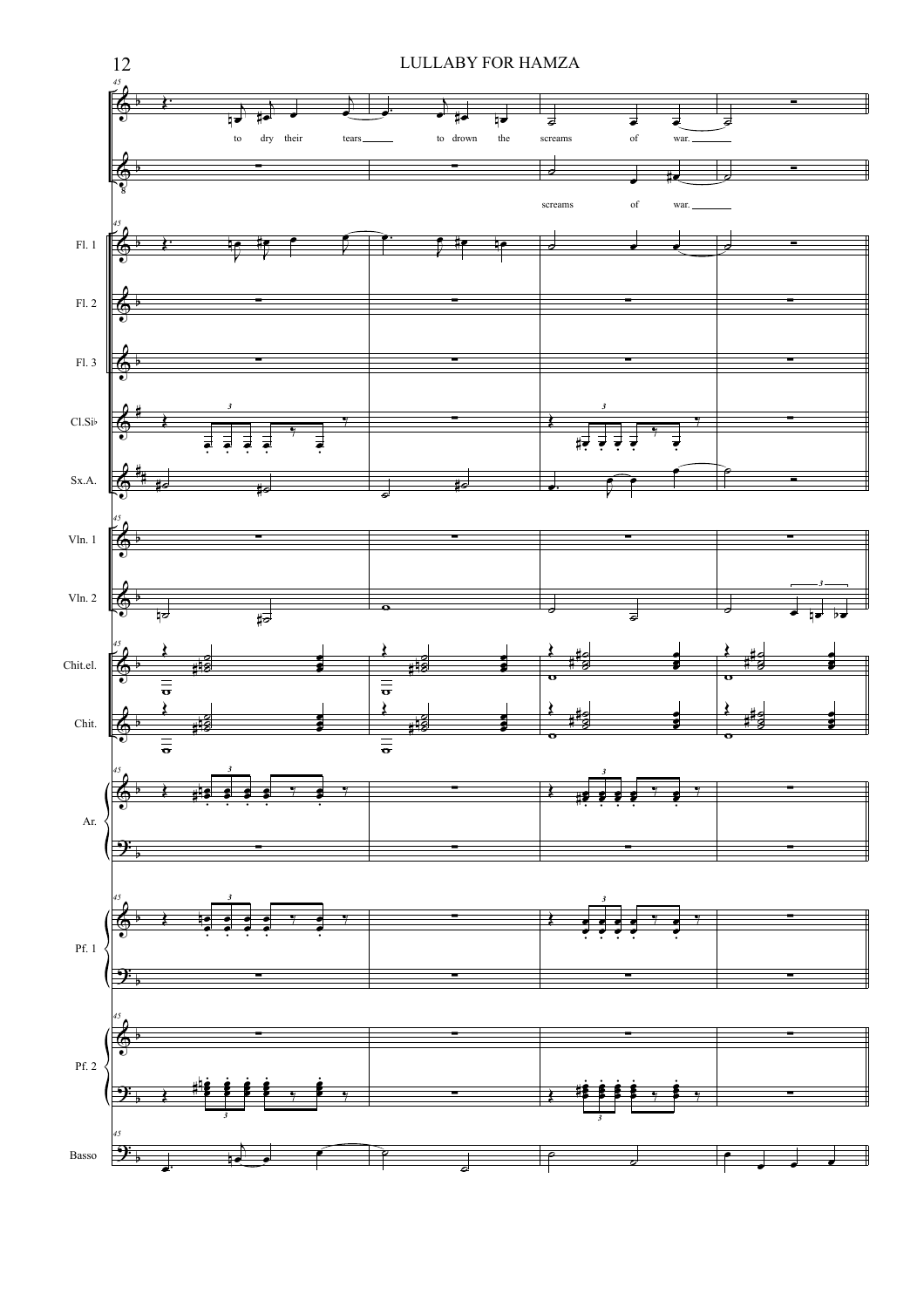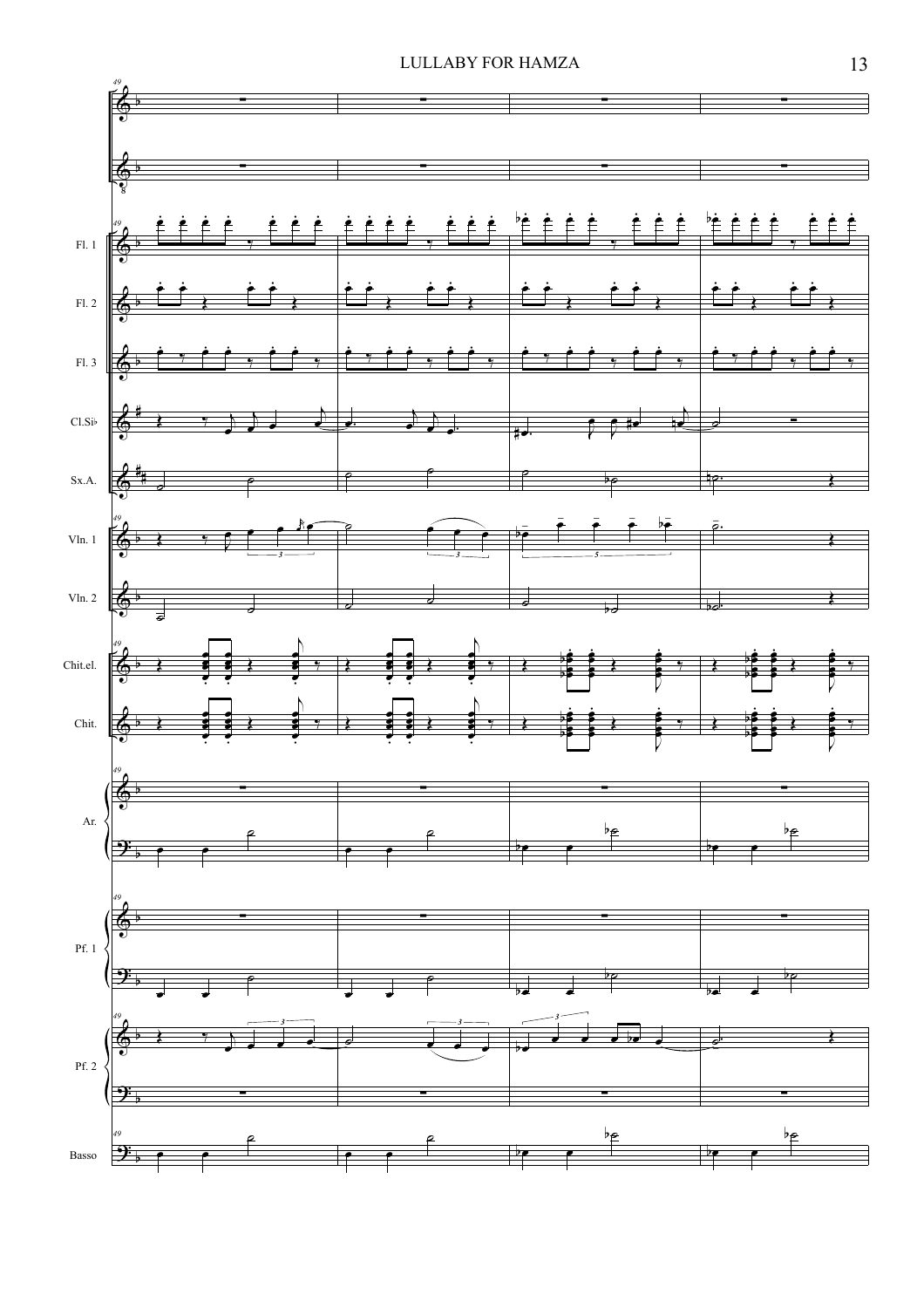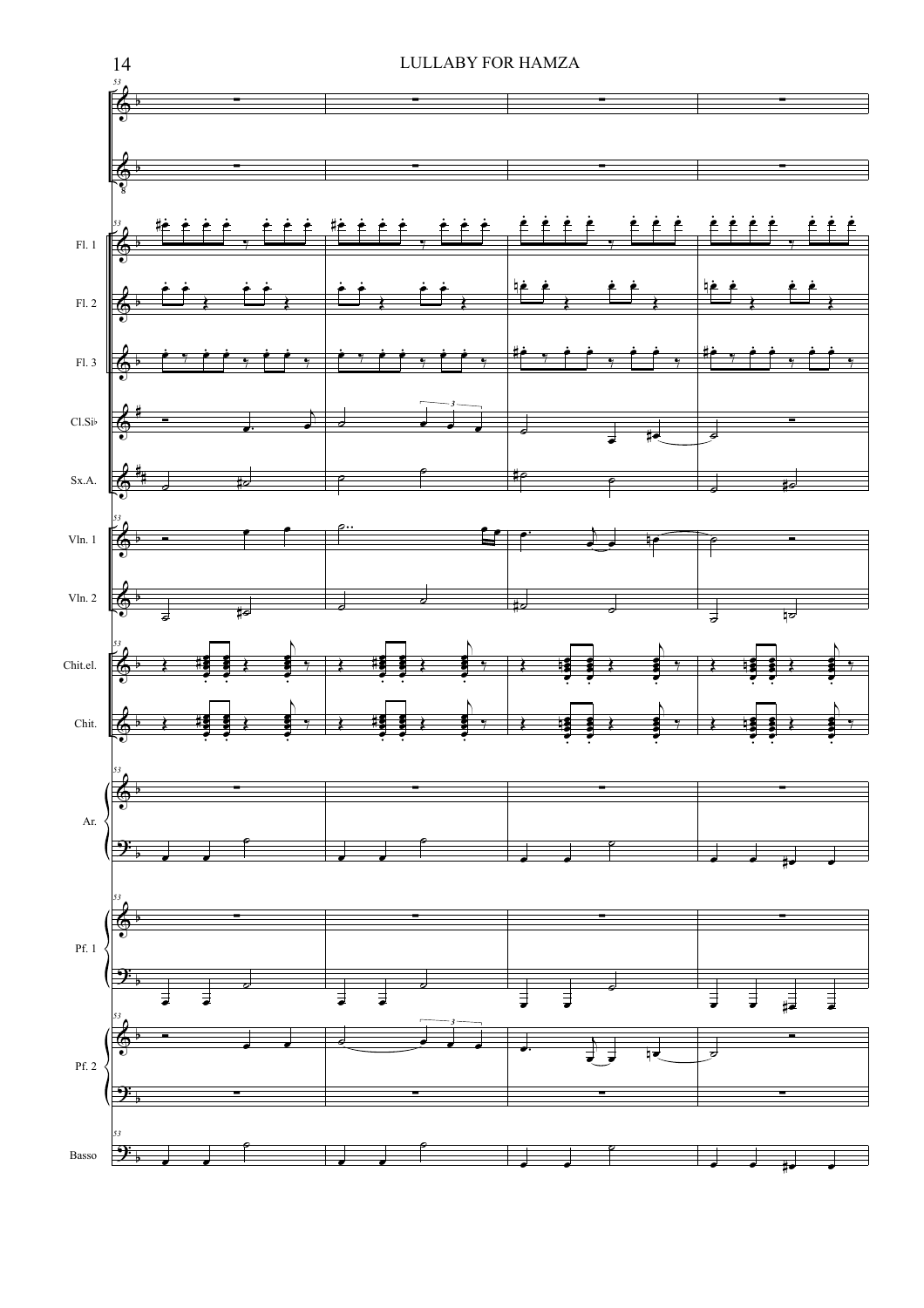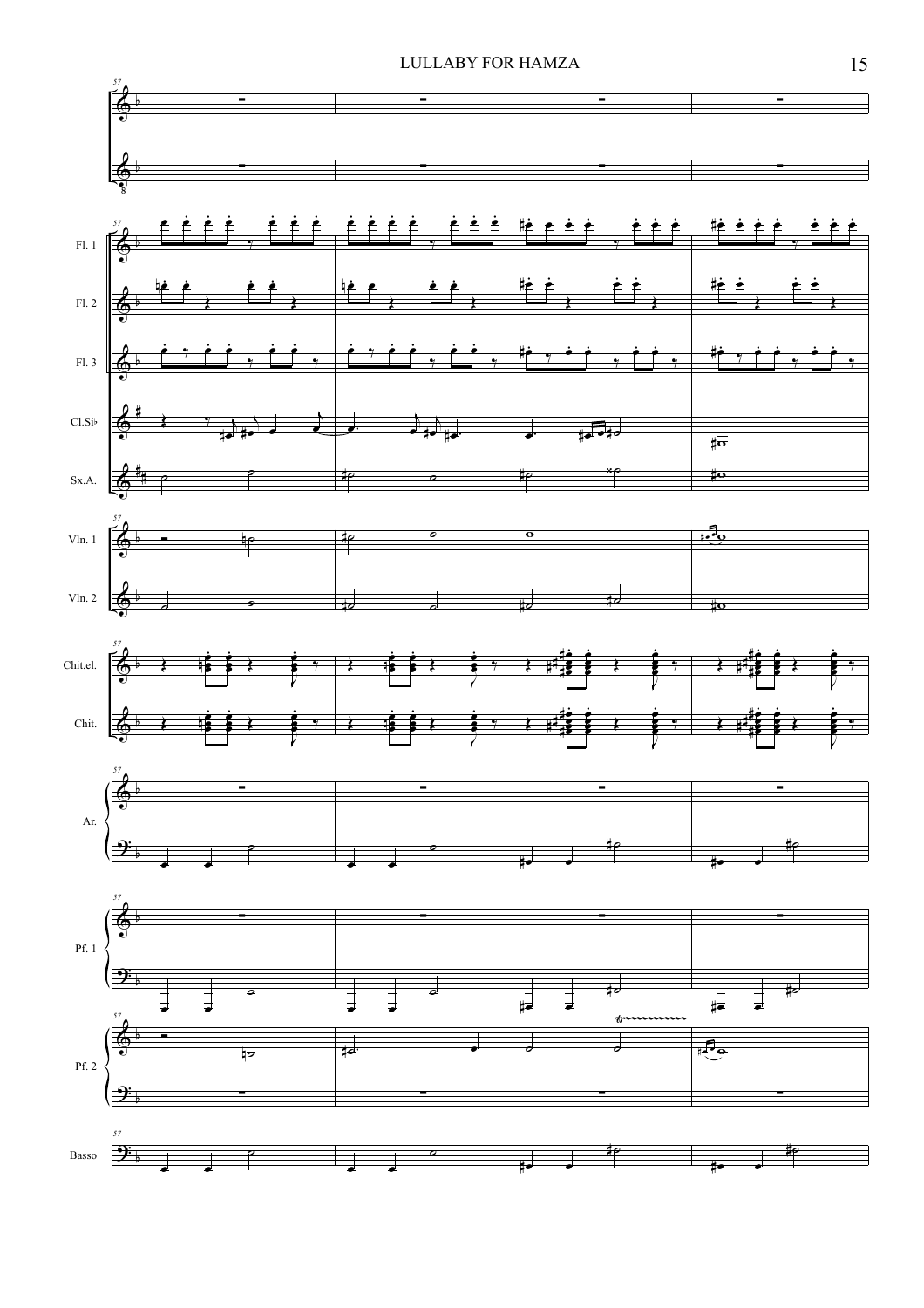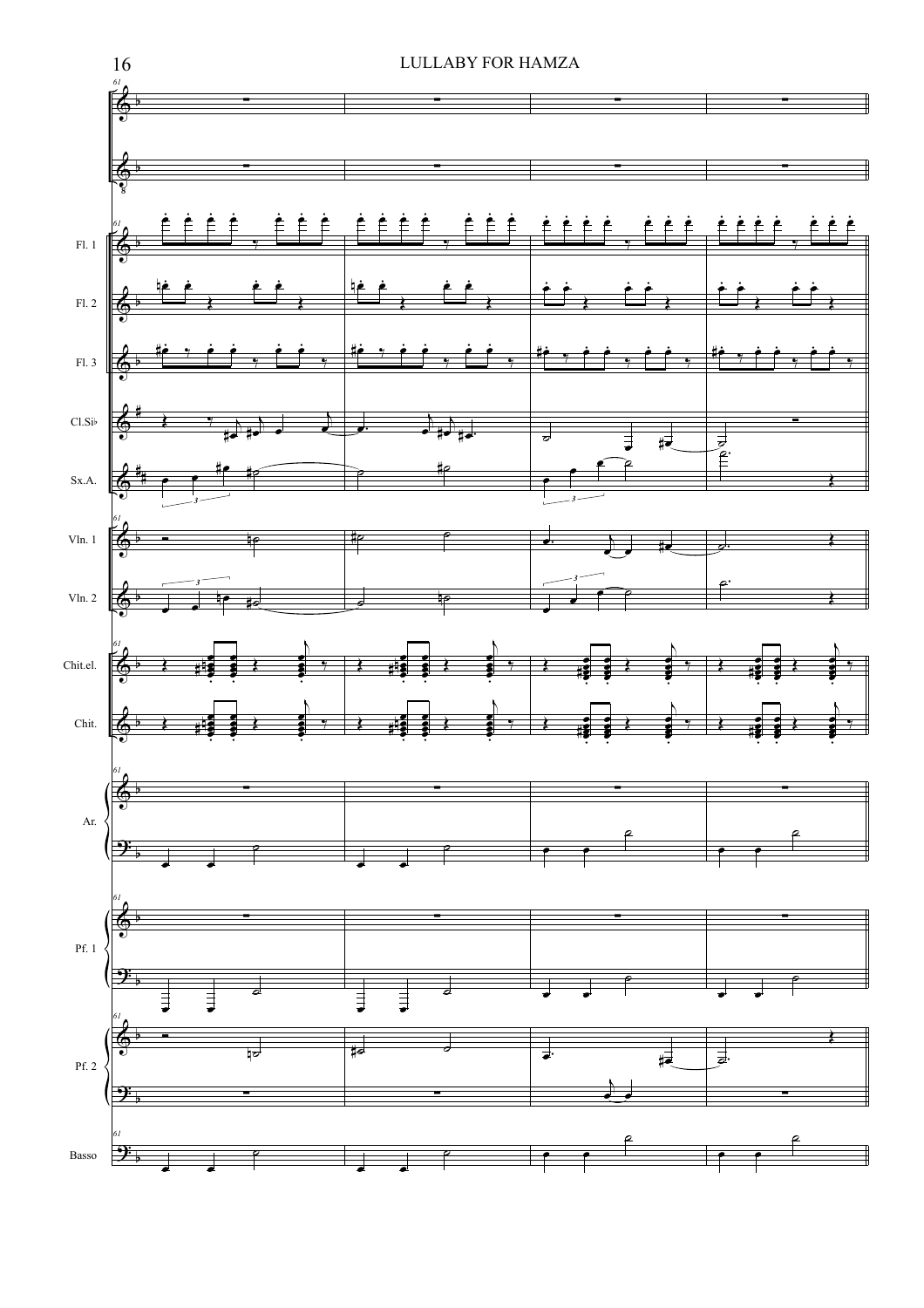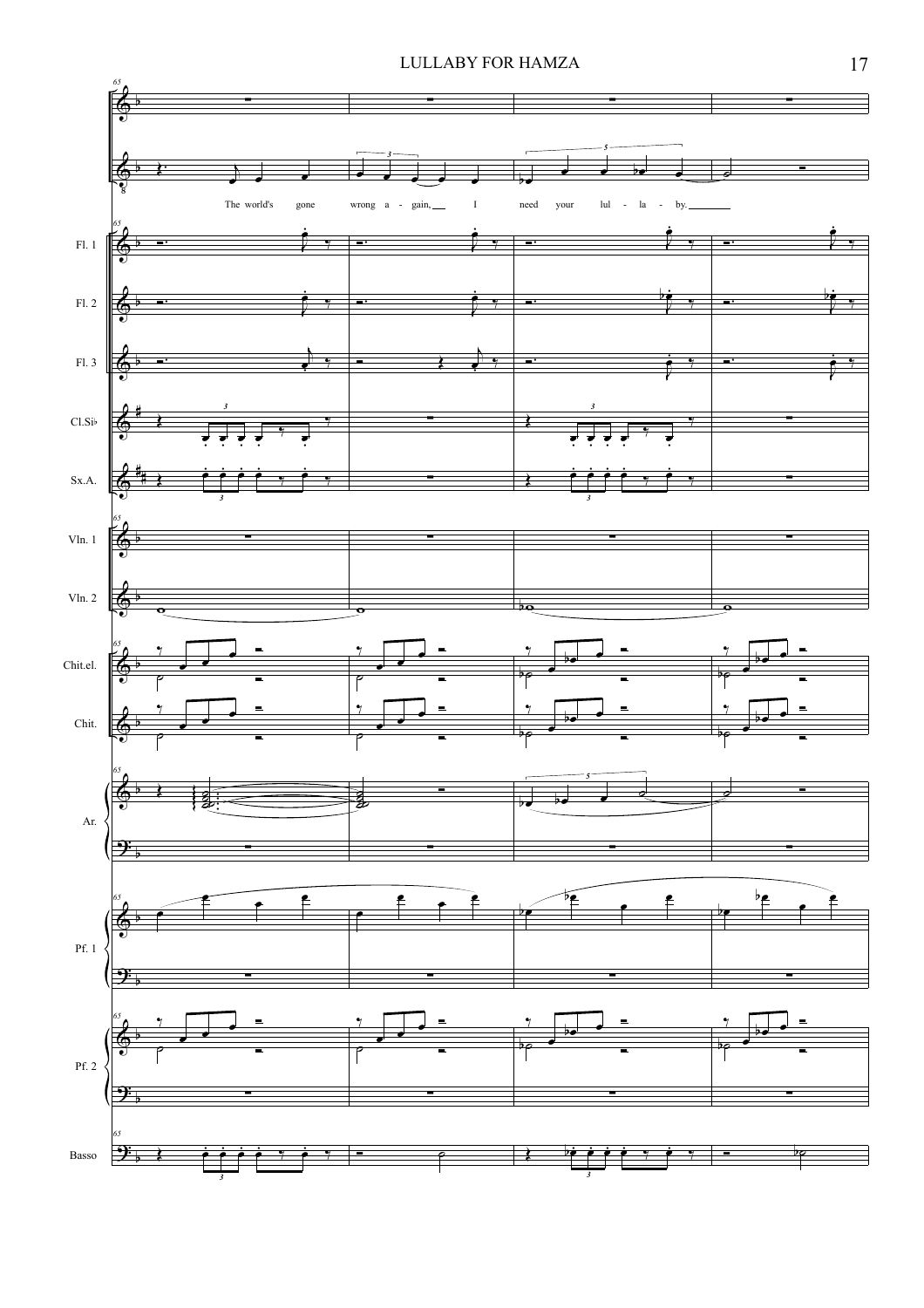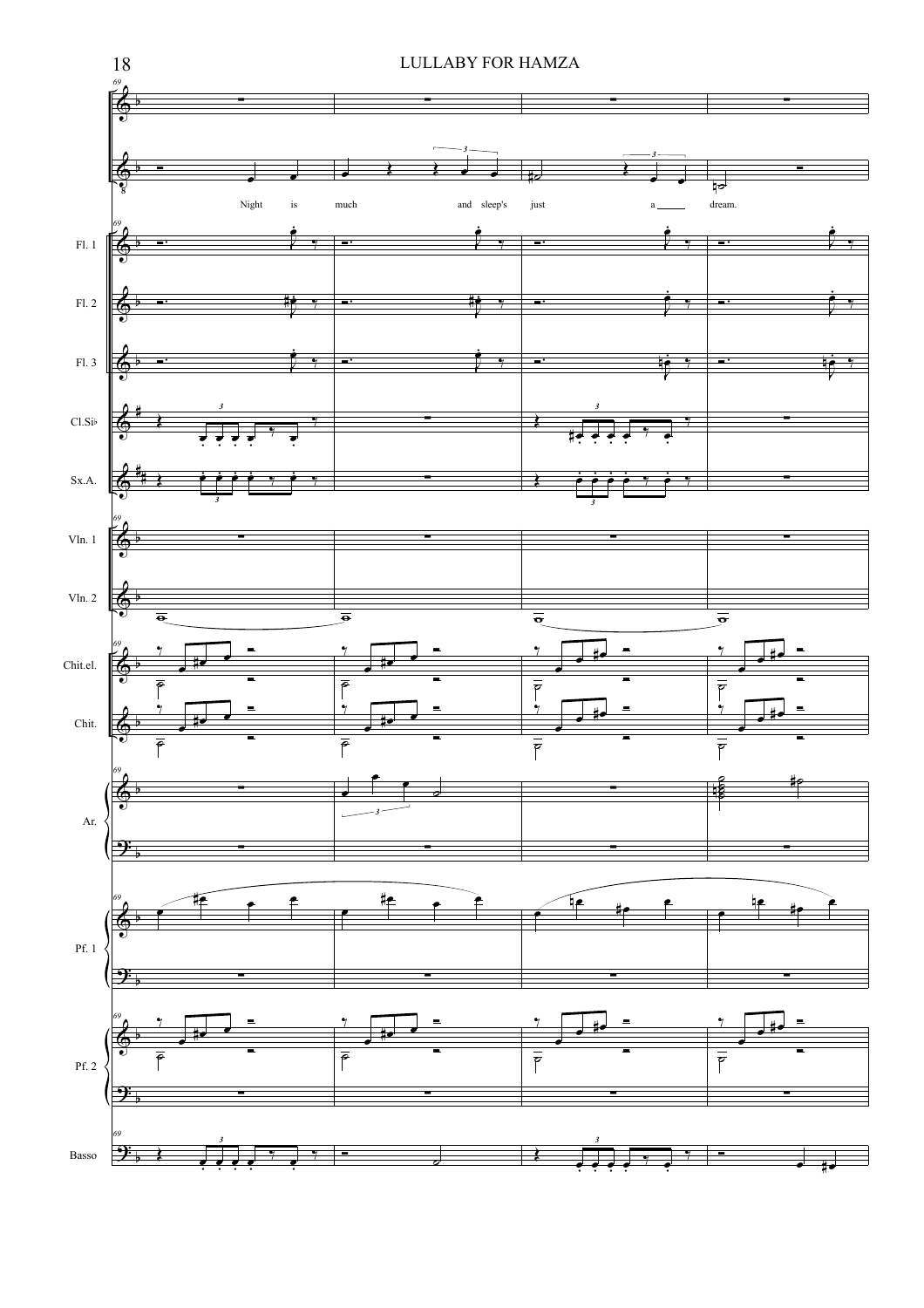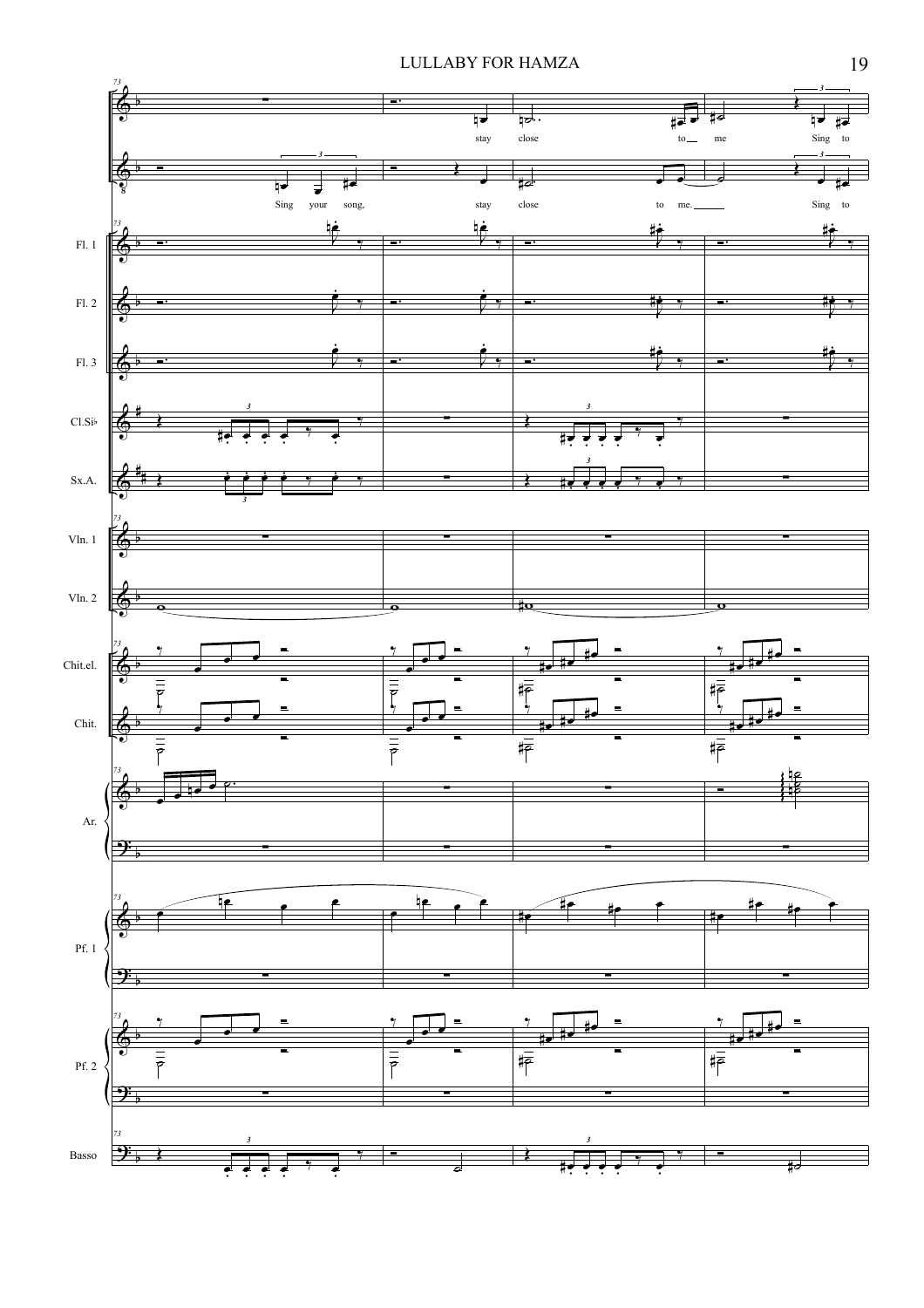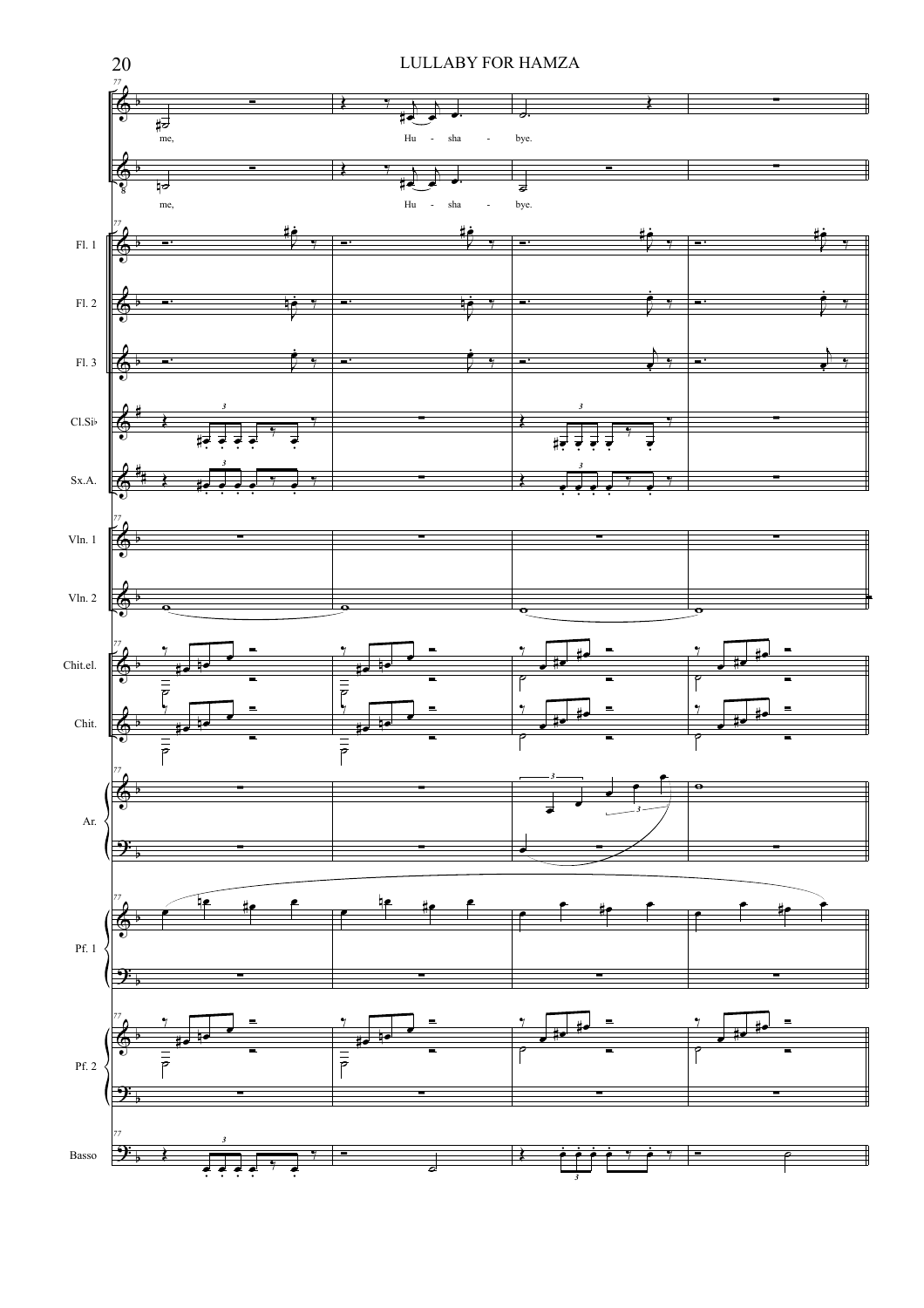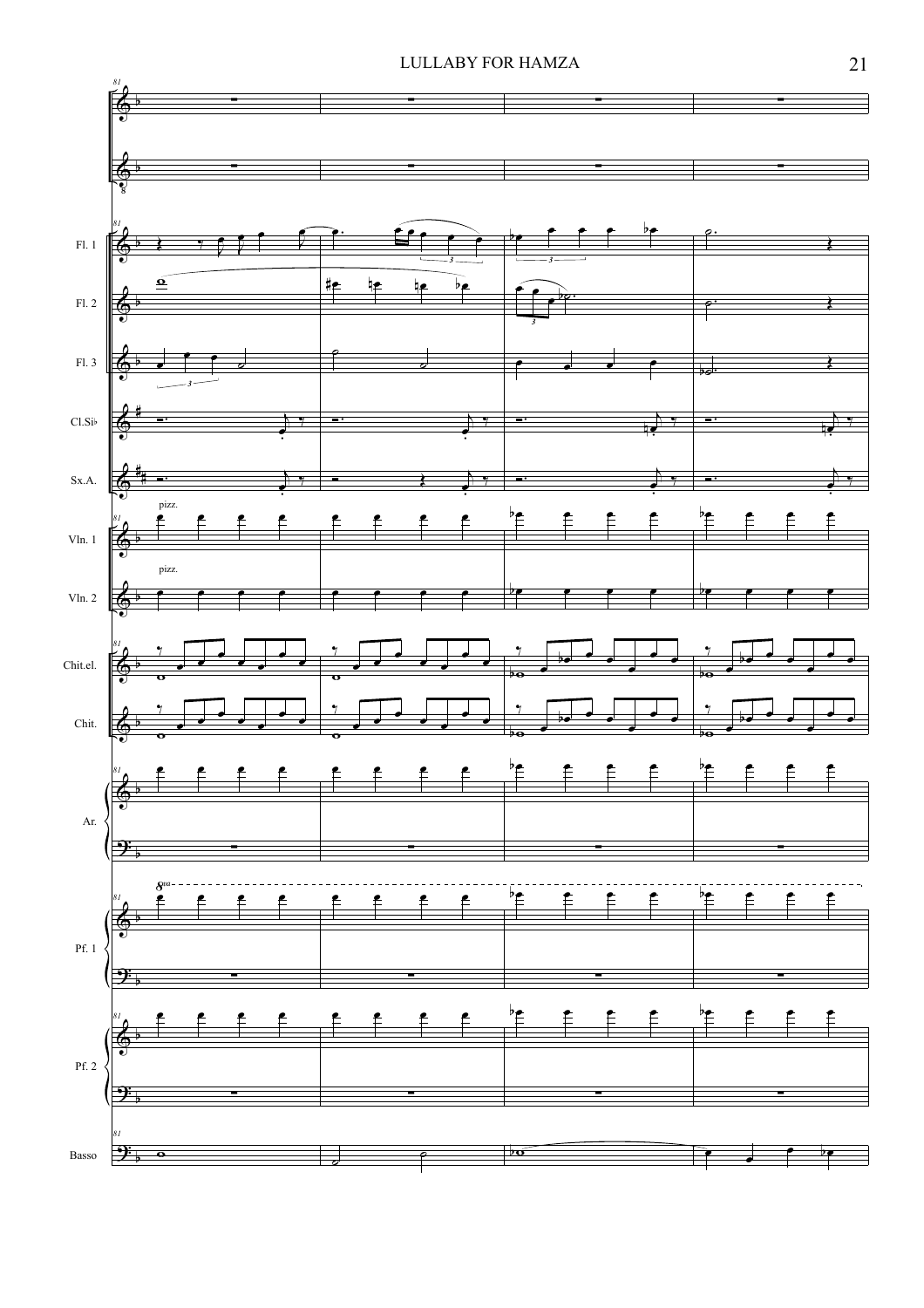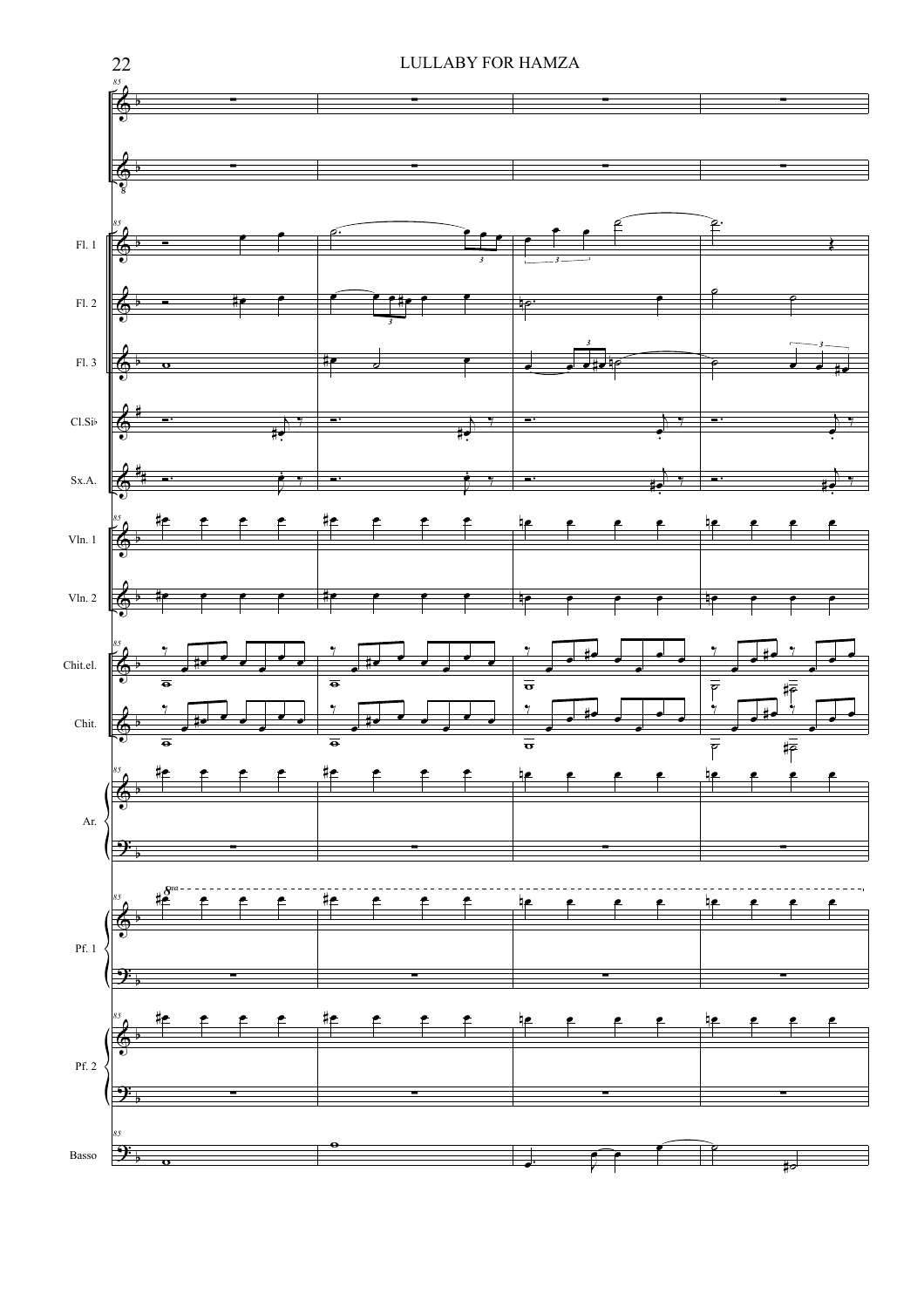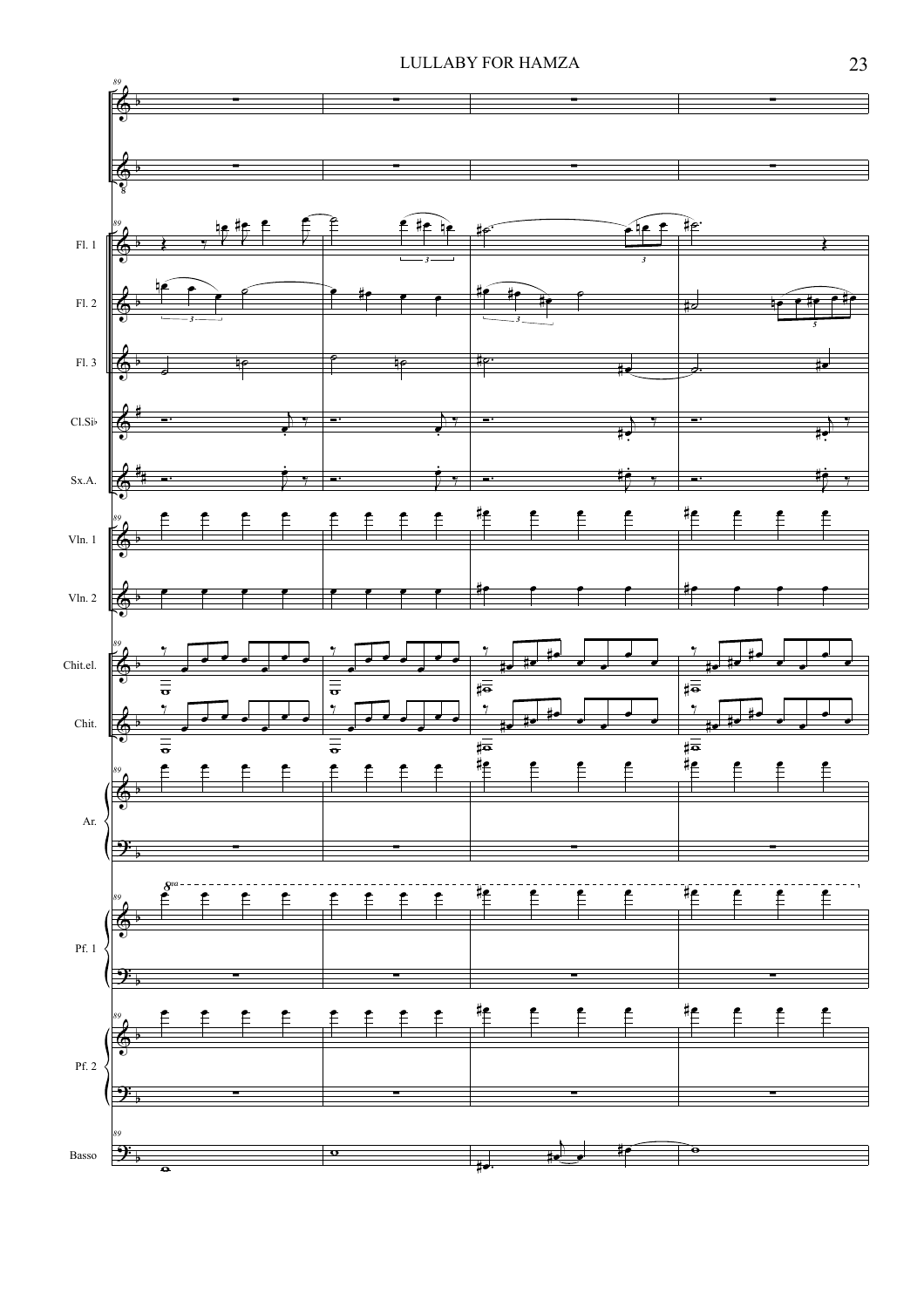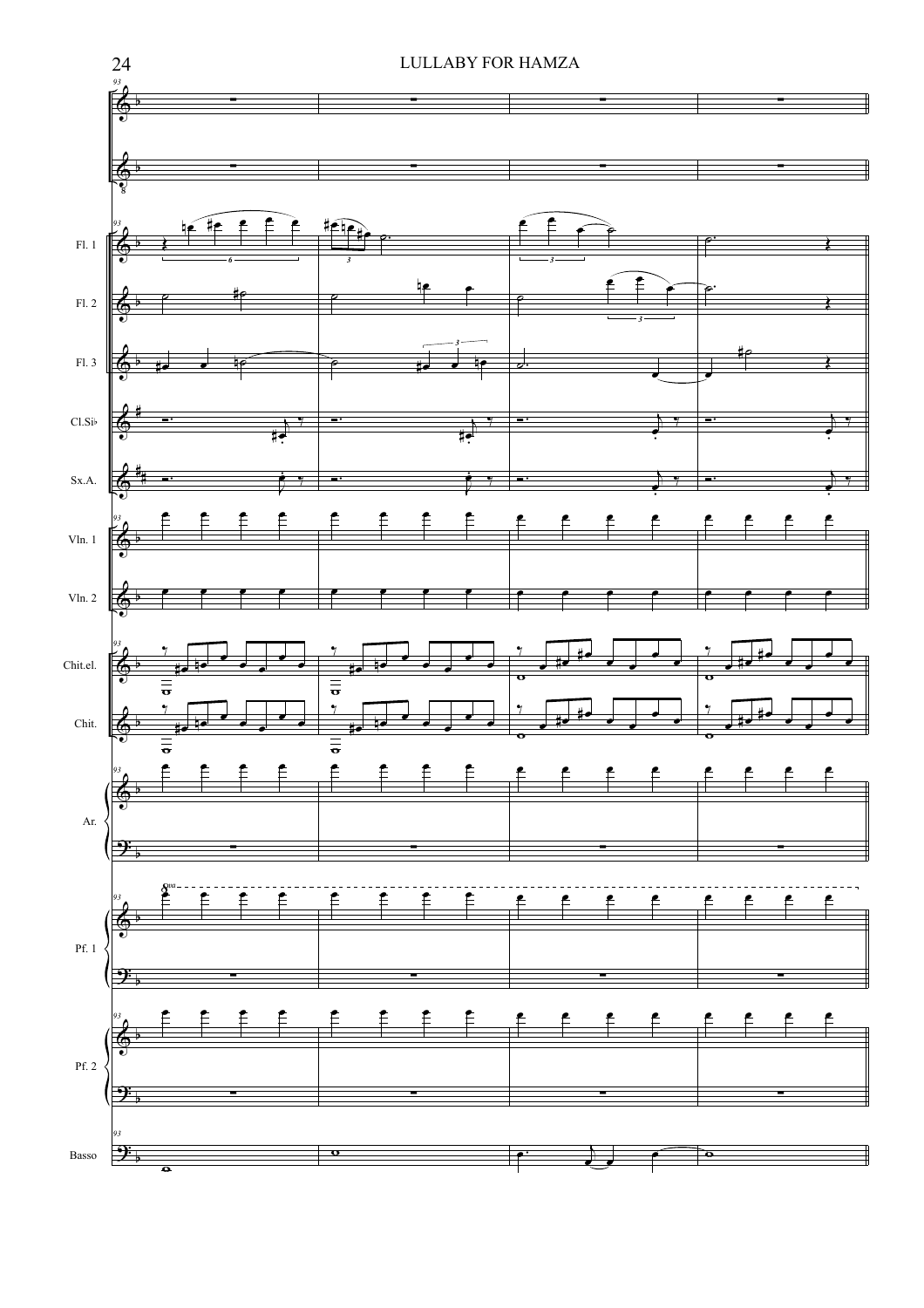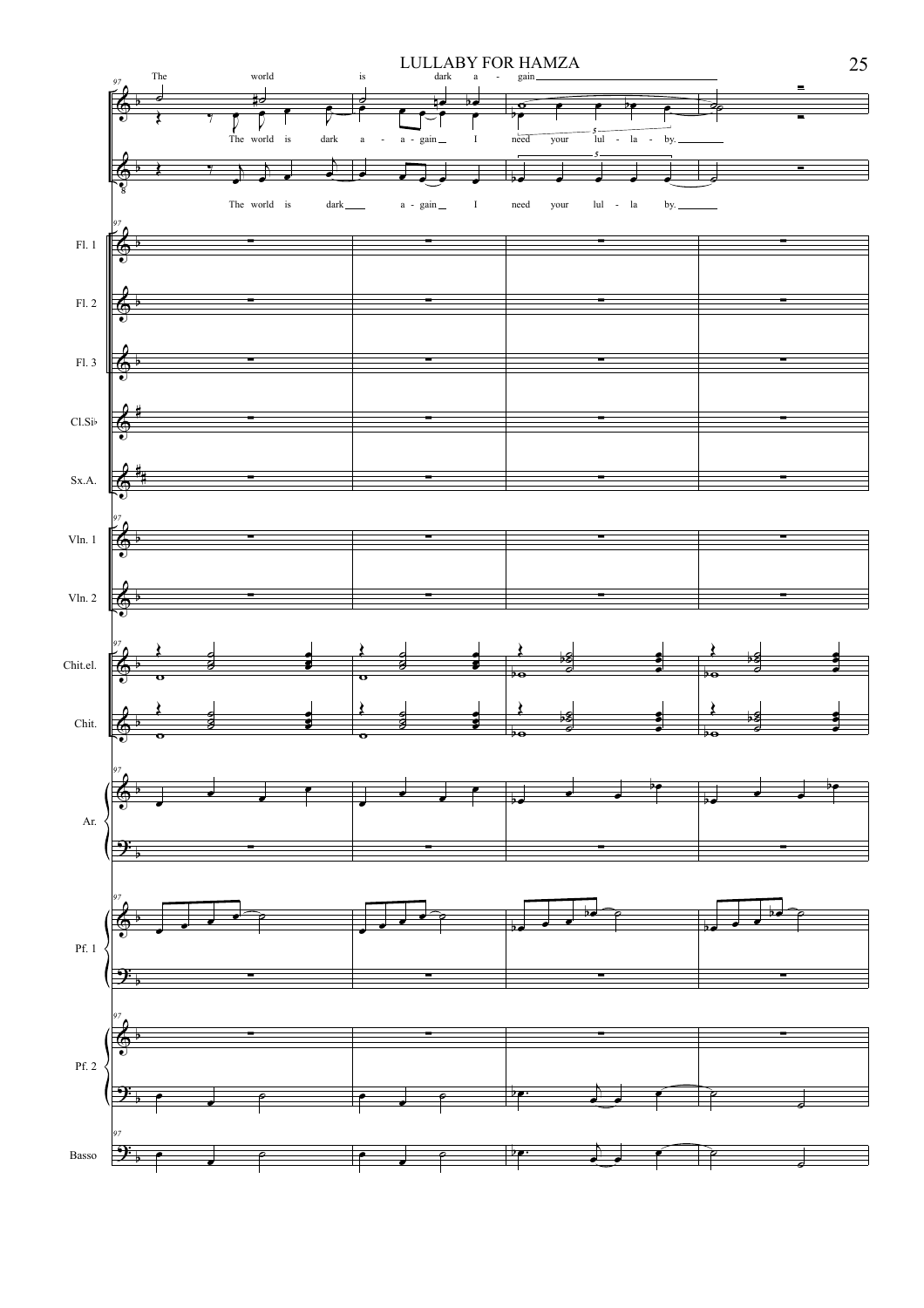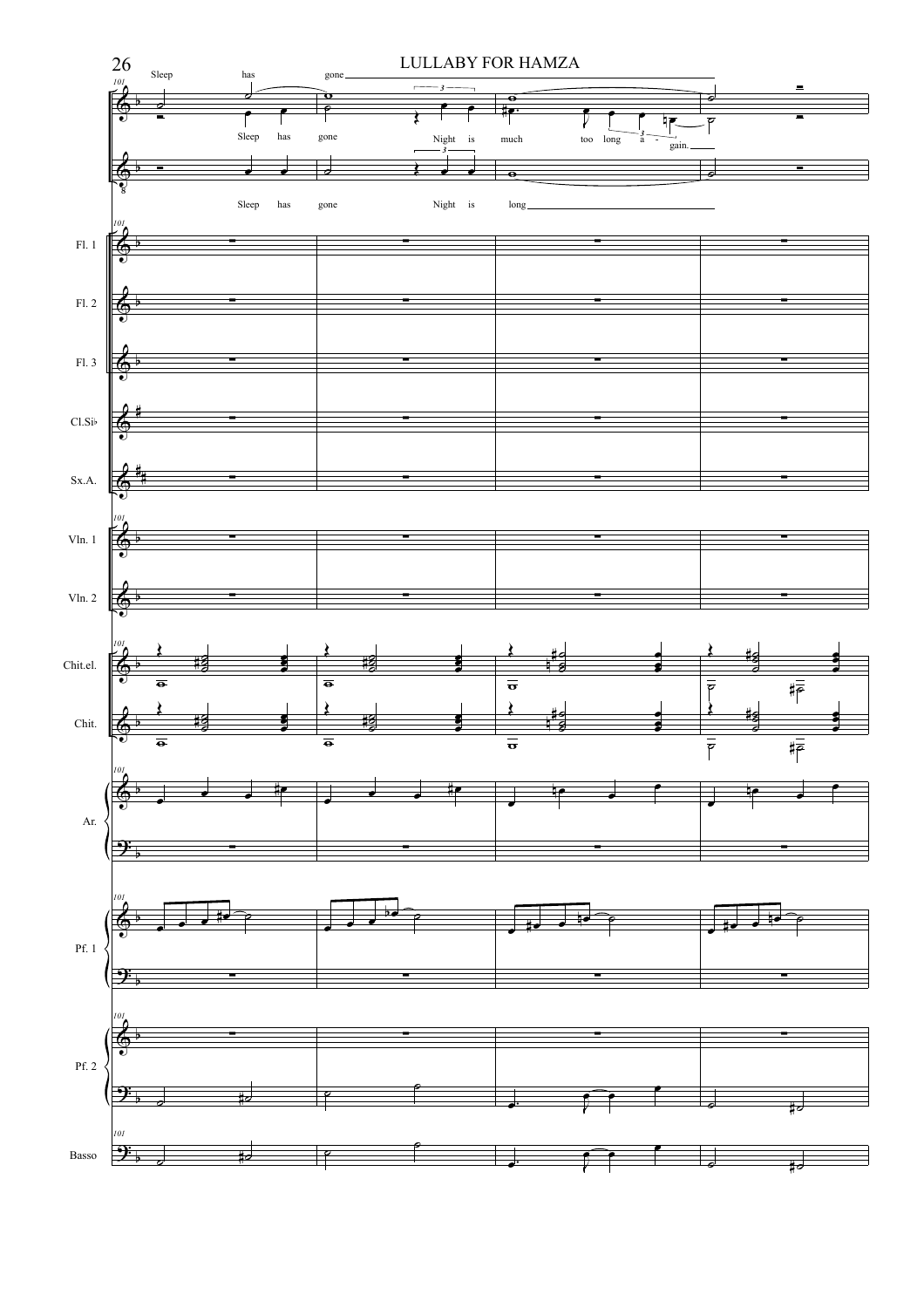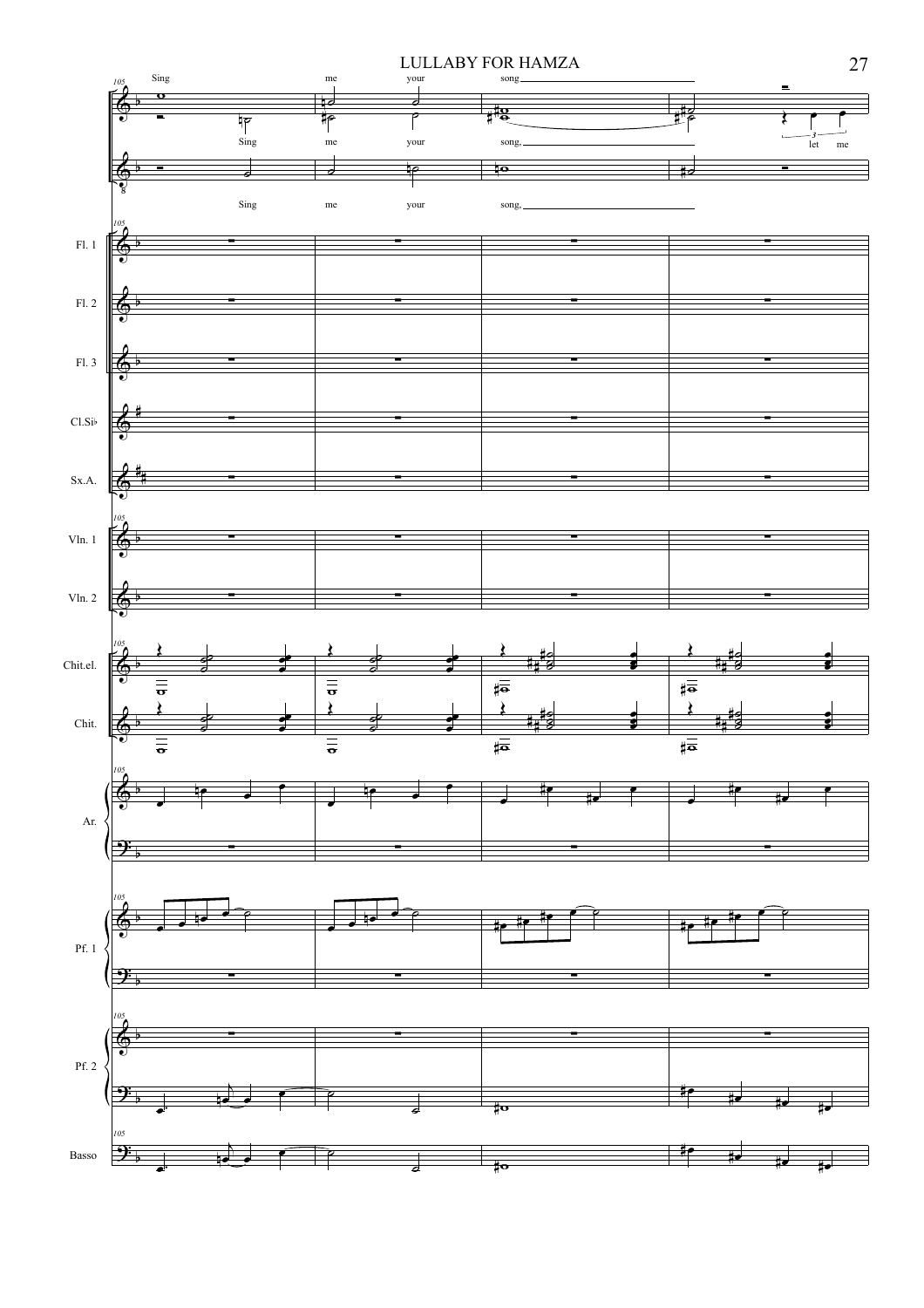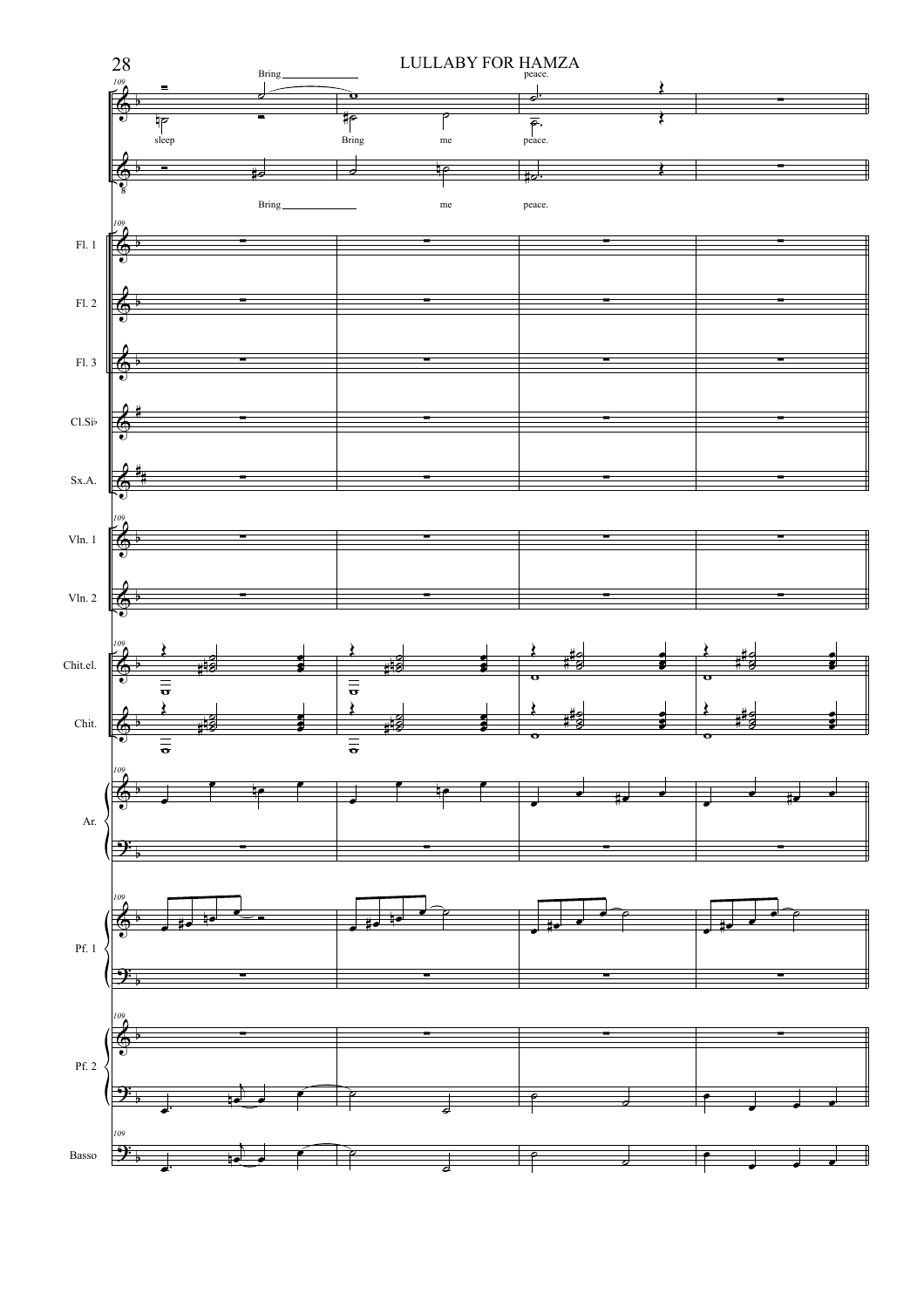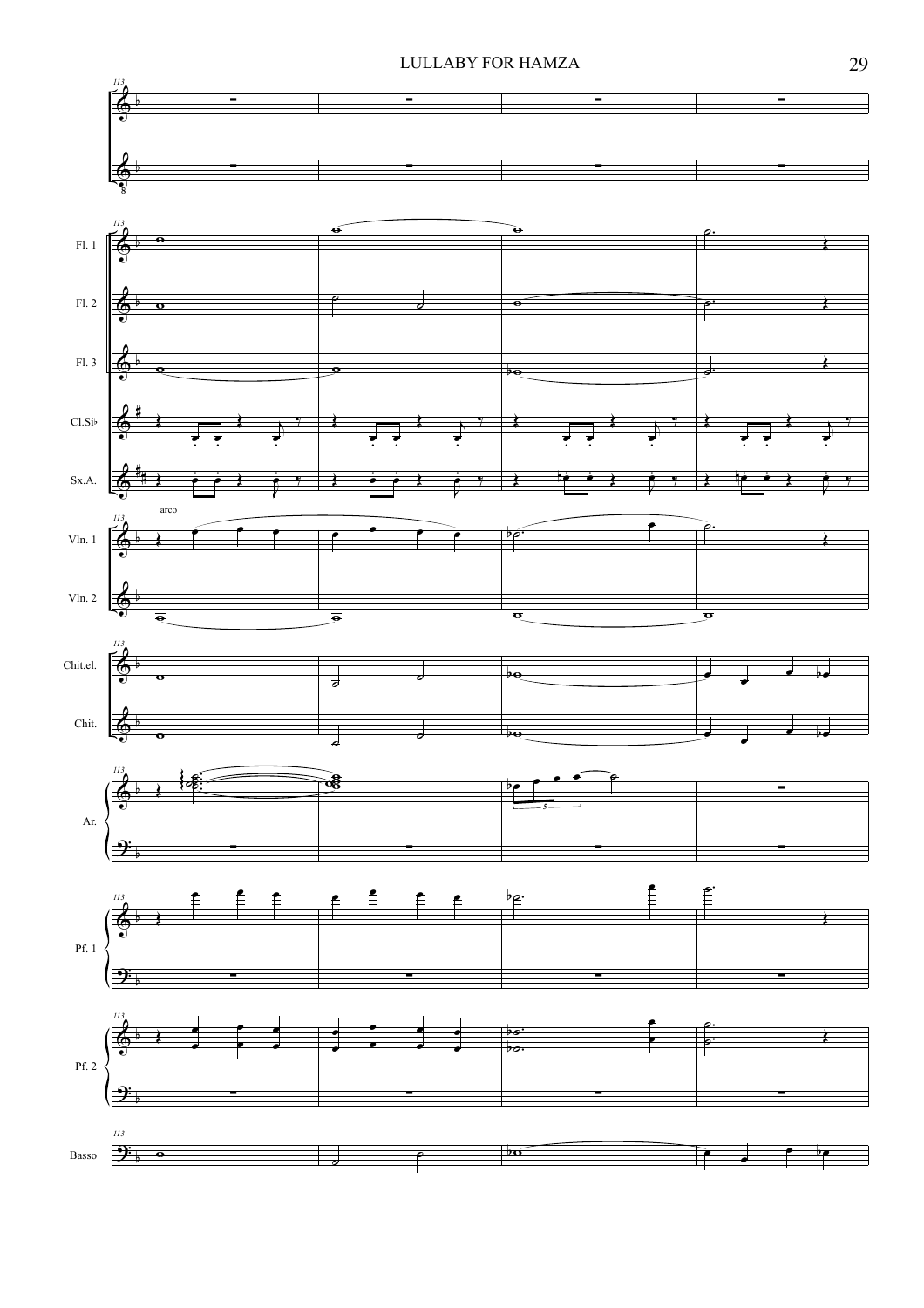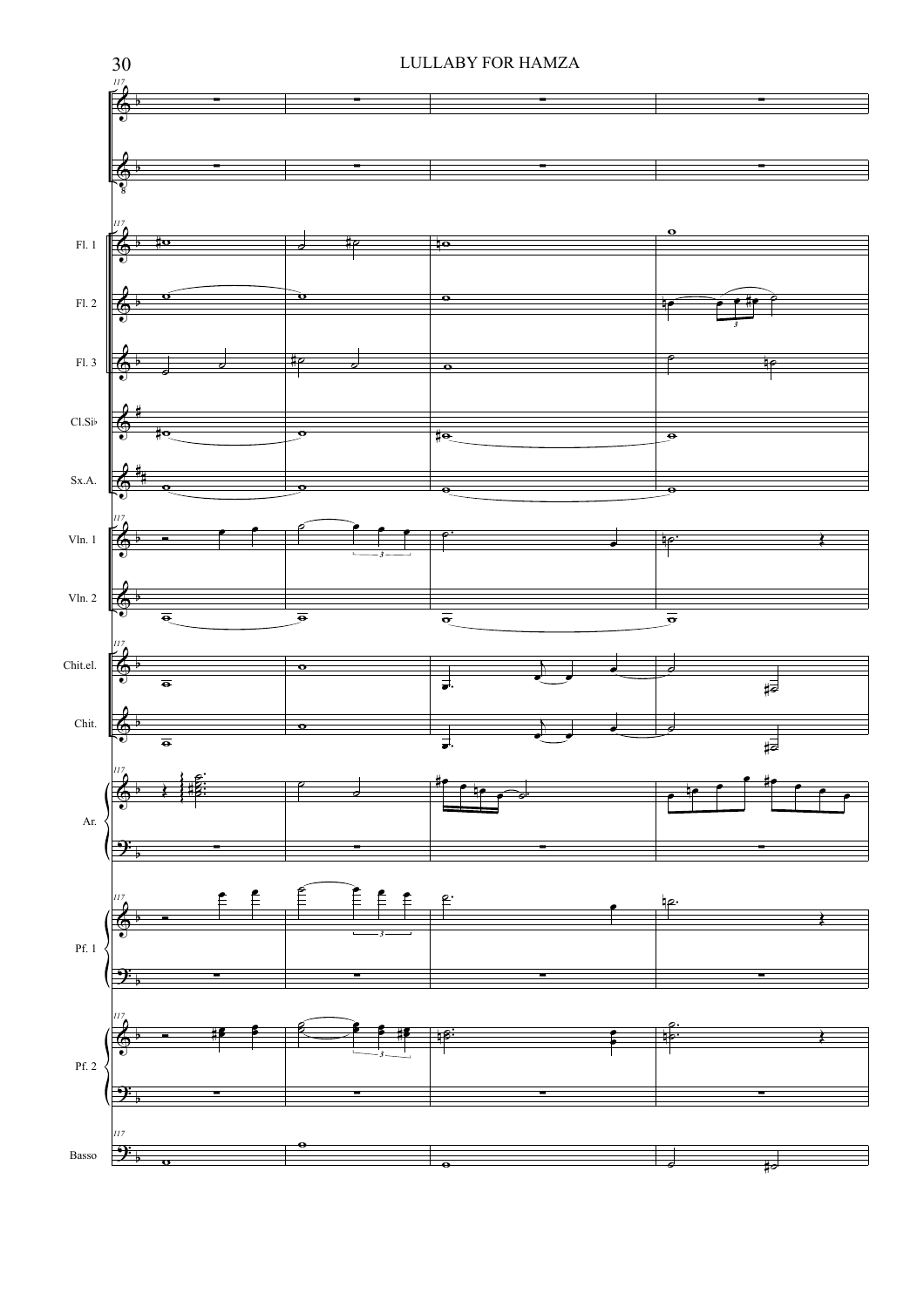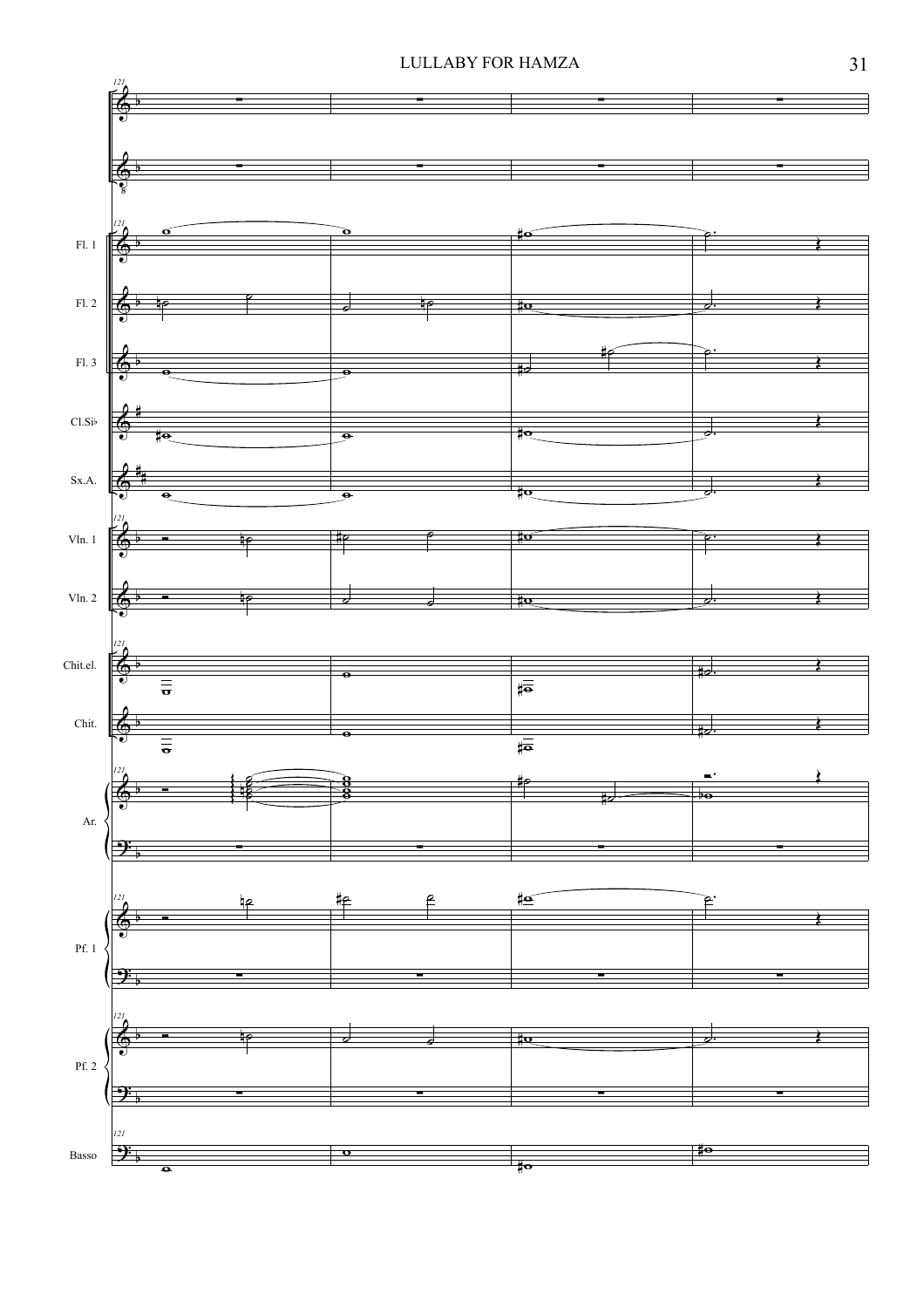